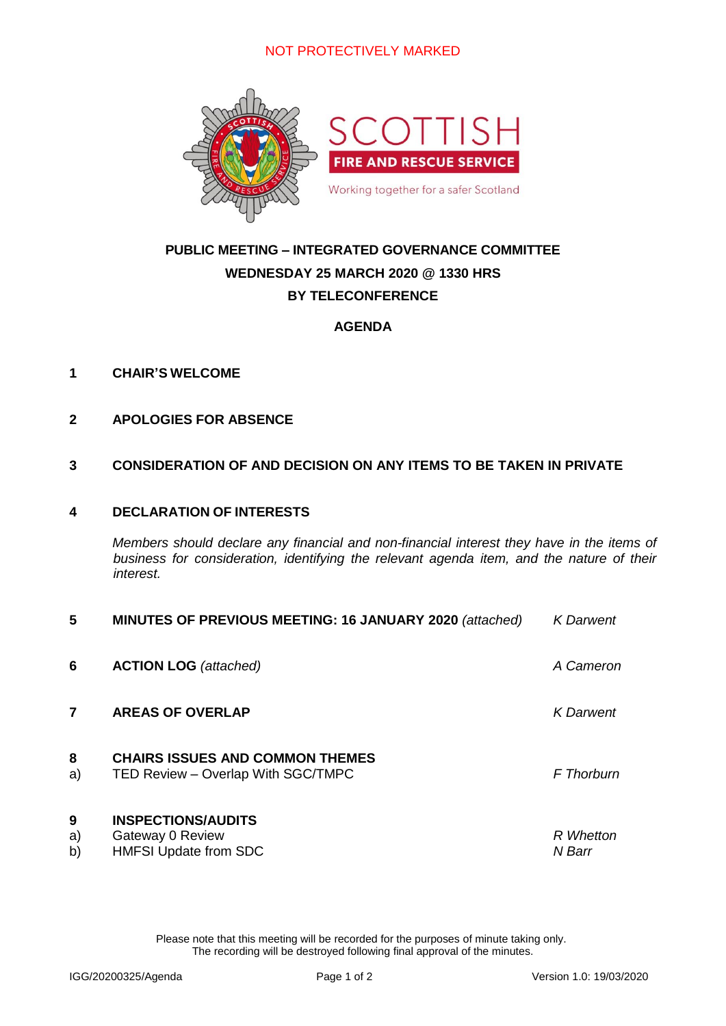

## **PUBLIC MEETING – INTEGRATED GOVERNANCE COMMITTEE WEDNESDAY 25 MARCH 2020 @ 1330 HRS BY TELECONFERENCE**

#### **AGENDA**

#### **1 CHAIR'S WELCOME**

**2 APOLOGIES FOR ABSENCE**

#### **3 CONSIDERATION OF AND DECISION ON ANY ITEMS TO BE TAKEN IN PRIVATE**

#### **4 DECLARATION OF INTERESTS**

*Members should declare any financial and non-financial interest they have in the items of business for consideration, identifying the relevant agenda item, and the nature of their interest.*

| 5             | MINUTES OF PREVIOUS MEETING: 16 JANUARY 2020 (attached)                       | <b>K</b> Darwent    |
|---------------|-------------------------------------------------------------------------------|---------------------|
| 6             | <b>ACTION LOG</b> (attached)                                                  | A Cameron           |
| 7             | <b>AREAS OF OVERLAP</b>                                                       | <b>K</b> Darwent    |
| 8<br>a)       | <b>CHAIRS ISSUES AND COMMON THEMES</b><br>TED Review - Overlap With SGC/TMPC  | <b>F</b> Thorburn   |
| 9<br>a)<br>b) | <b>INSPECTIONS/AUDITS</b><br>Gateway 0 Review<br><b>HMFSI Update from SDC</b> | R Whetton<br>N Barr |

Please note that this meeting will be recorded for the purposes of minute taking only. The recording will be destroyed following final approval of the minutes.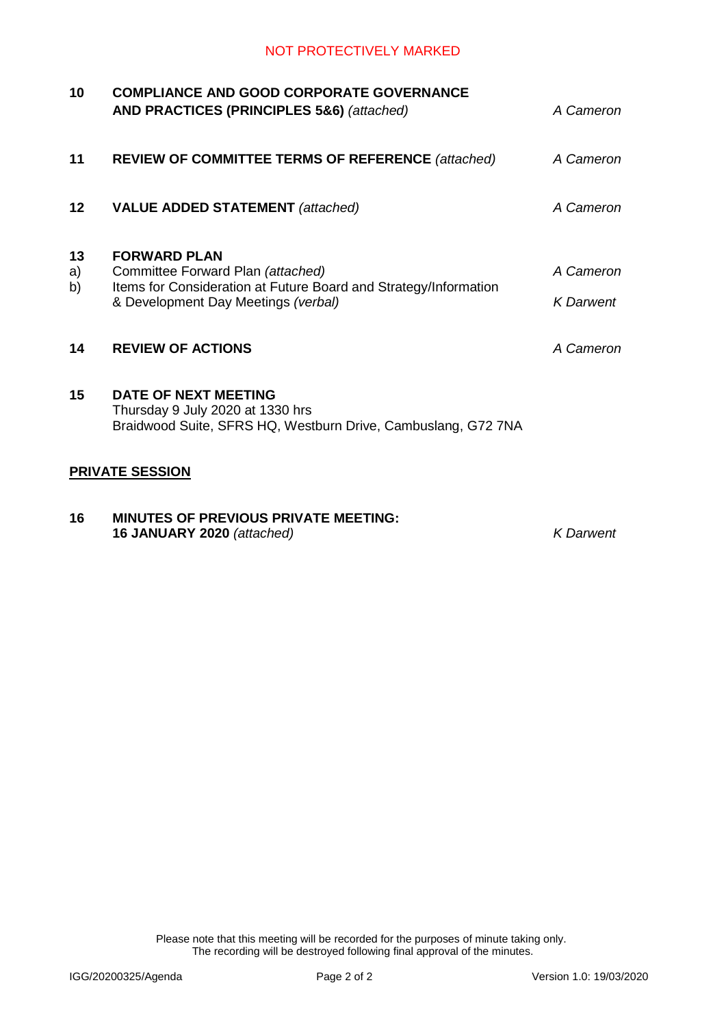| 10       | <b>COMPLIANCE AND GOOD CORPORATE GOVERNANCE</b><br>AND PRACTICES (PRINCIPLES 5&6) (attached)      | A Cameron        |
|----------|---------------------------------------------------------------------------------------------------|------------------|
| 11       | <b>REVIEW OF COMMITTEE TERMS OF REFERENCE</b> (attached)                                          | A Cameron        |
| 12       | <b>VALUE ADDED STATEMENT</b> (attached)                                                           | A Cameron        |
| 13<br>a) | <b>FORWARD PLAN</b><br>Committee Forward Plan (attached)                                          | A Cameron        |
| b)       | Items for Consideration at Future Board and Strategy/Information                                  |                  |
|          | & Development Day Meetings (verbal)                                                               | <b>K</b> Darwent |
| 14       | <b>REVIEW OF ACTIONS</b>                                                                          | A Cameron        |
| 15       | DATE OF NEXT MEETING                                                                              |                  |
|          | Thursday 9 July 2020 at 1330 hrs<br>Braidwood Suite, SFRS HQ, Westburn Drive, Cambuslang, G72 7NA |                  |
|          | <b>PRIVATE SESSION</b>                                                                            |                  |
| 16       | <b>MINUTES OF PREVIOUS PRIVATE MEETING:</b>                                                       |                  |

**16 JANUARY 2020** *(attached) K Darwent*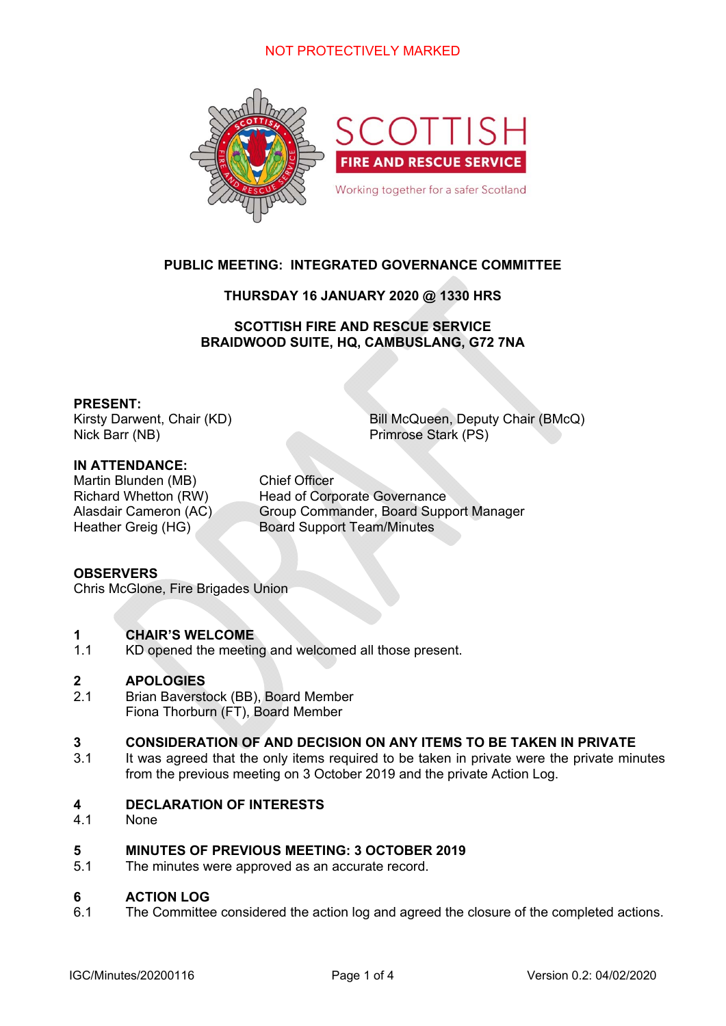

#### **PUBLIC MEETING: INTEGRATED GOVERNANCE COMMITTEE**

#### **THURSDAY 16 JANUARY 2020 @ 1330 HRS**

**SCOTTISH FIRE AND RESCUE SERVICE BRAIDWOOD SUITE, HQ, CAMBUSLANG, G72 7NA** 

#### **PRESENT:**

Nick Barr (NB) Primrose Stark (PS)

Kirsty Darwent, Chair (KD) Bill McQueen, Deputy Chair (BMcQ)

#### **IN ATTENDANCE:**

Martin Blunden (MB) Chief Officer

Richard Whetton (RW) Head of Corporate Governance Alasdair Cameron (AC) Group Commander, Board Support Manager Heather Greig (HG) Board Support Team/Minutes

#### **OBSERVERS**

Chris McGlone, Fire Brigades Union

#### **1 CHAIR'S WELCOME**

1.1 KD opened the meeting and welcomed all those present.

#### **2 APOLOGIES**

2.1 Brian Baverstock (BB), Board Member Fiona Thorburn (FT), Board Member

#### **3 CONSIDERATION OF AND DECISION ON ANY ITEMS TO BE TAKEN IN PRIVATE**

3.1 It was agreed that the only items required to be taken in private were the private minutes from the previous meeting on 3 October 2019 and the private Action Log.

#### **4 DECLARATION OF INTERESTS**

4.1 None

#### **5 MINUTES OF PREVIOUS MEETING: 3 OCTOBER 2019**

5.1 The minutes were approved as an accurate record.

#### **6 ACTION LOG**

6.1 The Committee considered the action log and agreed the closure of the completed actions.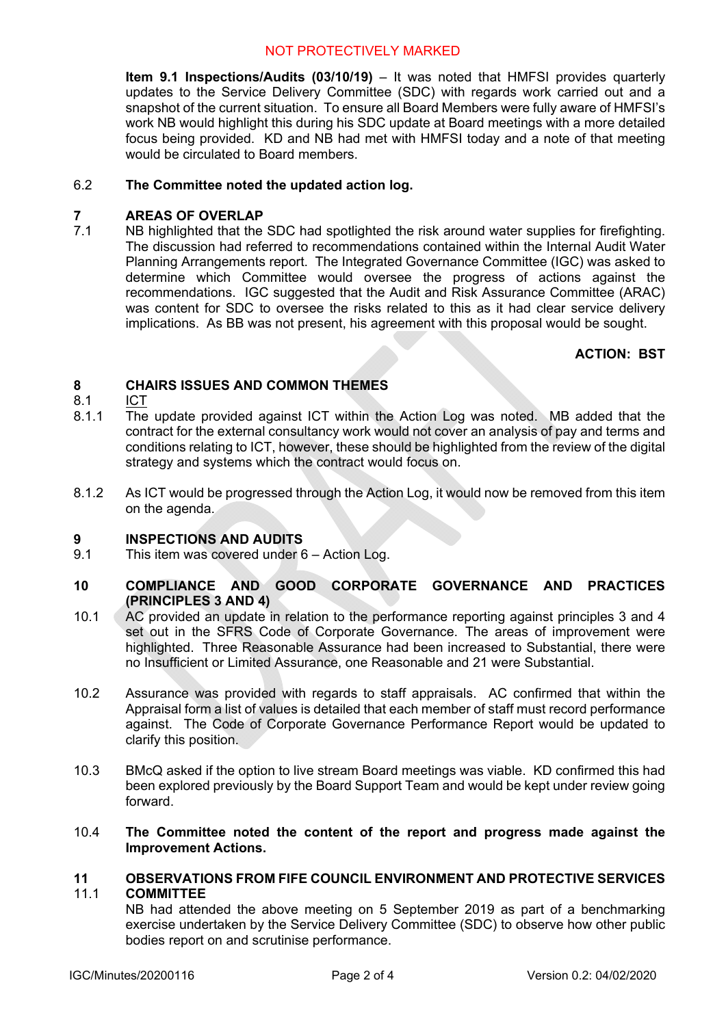**Item 9.1 Inspections/Audits (03/10/19)** – It was noted that HMFSI provides quarterly updates to the Service Delivery Committee (SDC) with regards work carried out and a snapshot of the current situation. To ensure all Board Members were fully aware of HMFSI's work NB would highlight this during his SDC update at Board meetings with a more detailed focus being provided. KD and NB had met with HMFSI today and a note of that meeting would be circulated to Board members.

#### 6.2 **The Committee noted the updated action log.**

#### **7 AREAS OF OVERLAP**

7.1 NB highlighted that the SDC had spotlighted the risk around water supplies for firefighting. The discussion had referred to recommendations contained within the Internal Audit Water Planning Arrangements report. The Integrated Governance Committee (IGC) was asked to determine which Committee would oversee the progress of actions against the recommendations. IGC suggested that the Audit and Risk Assurance Committee (ARAC) was content for SDC to oversee the risks related to this as it had clear service delivery implications. As BB was not present, his agreement with this proposal would be sought.

#### **ACTION: BST**

#### **8 CHAIRS ISSUES AND COMMON THEMES**

- 8.1 ICT
- 8.1.1 The update provided against ICT within the Action Log was noted. MB added that the contract for the external consultancy work would not cover an analysis of pay and terms and conditions relating to ICT, however, these should be highlighted from the review of the digital strategy and systems which the contract would focus on.
- 8.12 As ICT would be progressed through the Action Log, it would now be removed from this item on the agenda.

#### **9 INSPECTIONS AND AUDITS**

9.1 This item was covered under 6 – Action Log.

#### **10 COMPLIANCE AND GOOD CORPORATE GOVERNANCE AND PRACTICES (PRINCIPLES 3 AND 4)**

- 10.1 AC provided an update in relation to the performance reporting against principles 3 and 4 set out in the SFRS Code of Corporate Governance. The areas of improvement were highlighted. Three Reasonable Assurance had been increased to Substantial, there were no Insufficient or Limited Assurance, one Reasonable and 21 were Substantial.
- 10.2 Assurance was provided with regards to staff appraisals. AC confirmed that within the Appraisal form a list of values is detailed that each member of staff must record performance against. The Code of Corporate Governance Performance Report would be updated to clarify this position.
- 10.3 BMcQ asked if the option to live stream Board meetings was viable. KD confirmed this had been explored previously by the Board Support Team and would be kept under review going forward.
- 10.4 **The Committee noted the content of the report and progress made against the Improvement Actions.**

#### **11**  11.1 **OBSERVATIONS FROM FIFE COUNCIL ENVIRONMENT AND PROTECTIVE SERVICES COMMITTEE**

NB had attended the above meeting on 5 September 2019 as part of a benchmarking exercise undertaken by the Service Delivery Committee (SDC) to observe how other public bodies report on and scrutinise performance.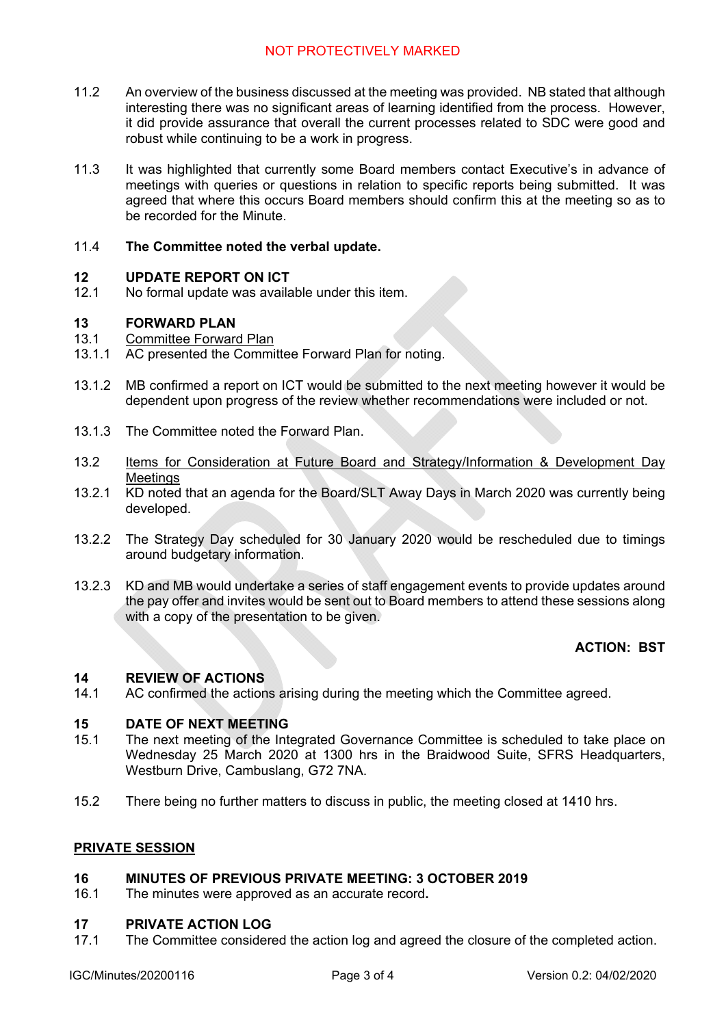- 11.2 An overview of the business discussed at the meeting was provided. NB stated that although interesting there was no significant areas of learning identified from the process. However, it did provide assurance that overall the current processes related to SDC were good and robust while continuing to be a work in progress.
- 11.3 It was highlighted that currently some Board members contact Executive's in advance of meetings with queries or questions in relation to specific reports being submitted. It was agreed that where this occurs Board members should confirm this at the meeting so as to be recorded for the Minute.

#### 11.4 **The Committee noted the verbal update.**

#### **12 UPDATE REPORT ON ICT**

12.1 No formal update was available under this item.

#### **13 FORWARD PLAN**

#### 13.1 Committee Forward Plan

- 13.1.1 AC presented the Committee Forward Plan for noting.
- 13.1.2 MB confirmed a report on ICT would be submitted to the next meeting however it would be dependent upon progress of the review whether recommendations were included or not.
- 13.1.3 The Committee noted the Forward Plan.
- 13.2 Items for Consideration at Future Board and Strategy/Information & Development Day **Meetings**
- 13.2.1 KD noted that an agenda for the Board/SLT Away Days in March 2020 was currently being developed.
- 13.2.2 The Strategy Day scheduled for 30 January 2020 would be rescheduled due to timings around budgetary information.
- 13.2.3 KD and MB would undertake a series of staff engagement events to provide updates around the pay offer and invites would be sent out to Board members to attend these sessions along with a copy of the presentation to be given.

#### **ACTION: BST**

#### **14 REVIEW OF ACTIONS**

14.1 AC confirmed the actions arising during the meeting which the Committee agreed.

#### **15 DATE OF NEXT MEETING**

- 15.1 The next meeting of the Integrated Governance Committee is scheduled to take place on Wednesday 25 March 2020 at 1300 hrs in the Braidwood Suite, SFRS Headquarters, Westburn Drive, Cambuslang, G72 7NA.
- 15.2 There being no further matters to discuss in public, the meeting closed at 1410 hrs.

#### **PRIVATE SESSION**

#### **16 MINUTES OF PREVIOUS PRIVATE MEETING: 3 OCTOBER 2019**

16.1 The minutes were approved as an accurate record**.** 

#### **17 PRIVATE ACTION LOG**

17.1 The Committee considered the action log and agreed the closure of the completed action.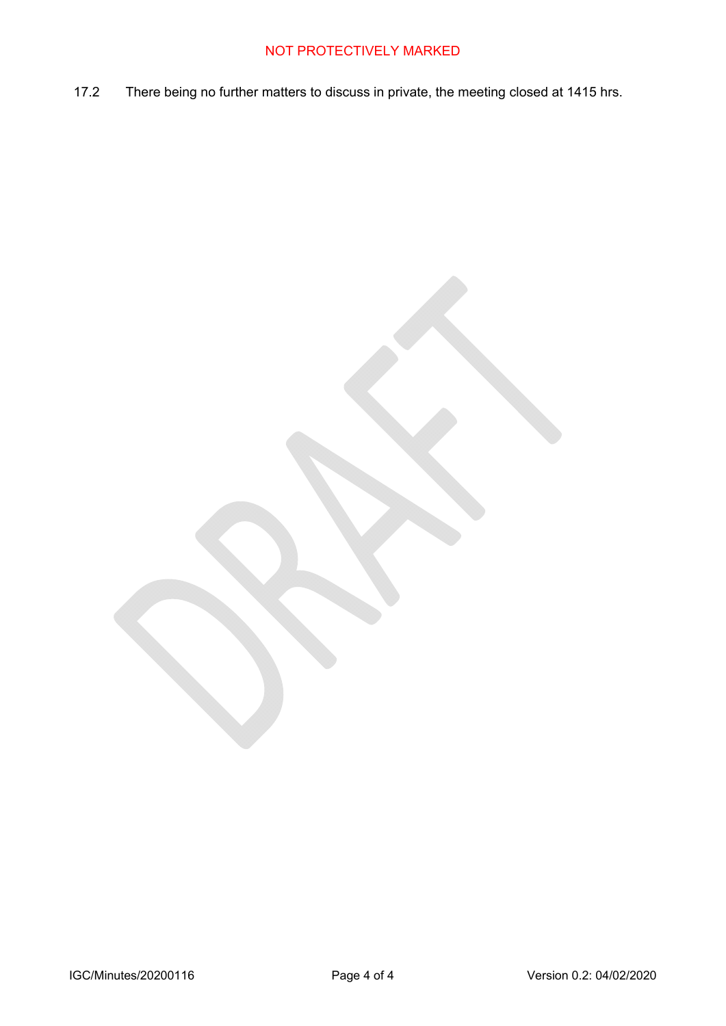17.2 There being no further matters to discuss in private, the meeting closed at 1415 hrs.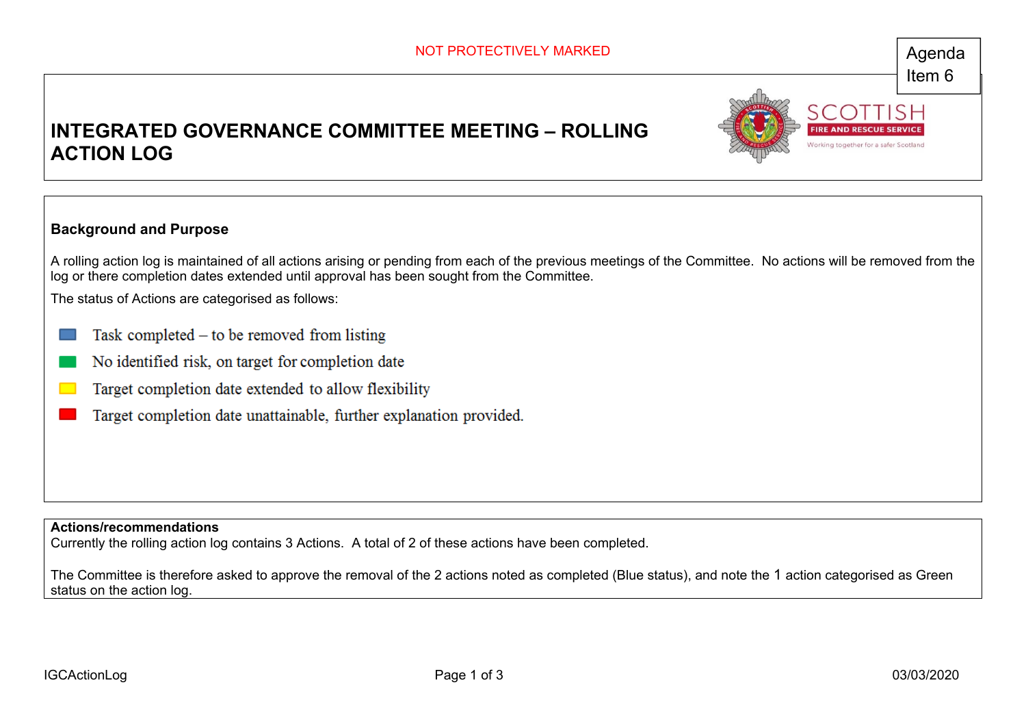Working together for a safer Scotlar

## **INTEGRATED GOVERNANCE COMMITTEE MEETING – ROLLING ACTION LOG**



A rolling action log is maintained of all actions arising or pending from each of the previous meetings of the Committee. No actions will be removed from the log or there completion dates extended until approval has been sought from the Committee.

The status of Actions are categorised as follows:

- Task completed  $-$  to be removed from listing
- No identified risk, on target for completion date
- Target completion date extended to allow flexibility
- Target completion date unattainable, further explanation provided.

**Actions/recommendations** 

Currently the rolling action log contains 3 Actions. A total of 2 of these actions have been completed.

The Committee is therefore asked to approve the removal of the 2 actions noted as completed (Blue status), and note the 1 action categorised as Green status on the action log.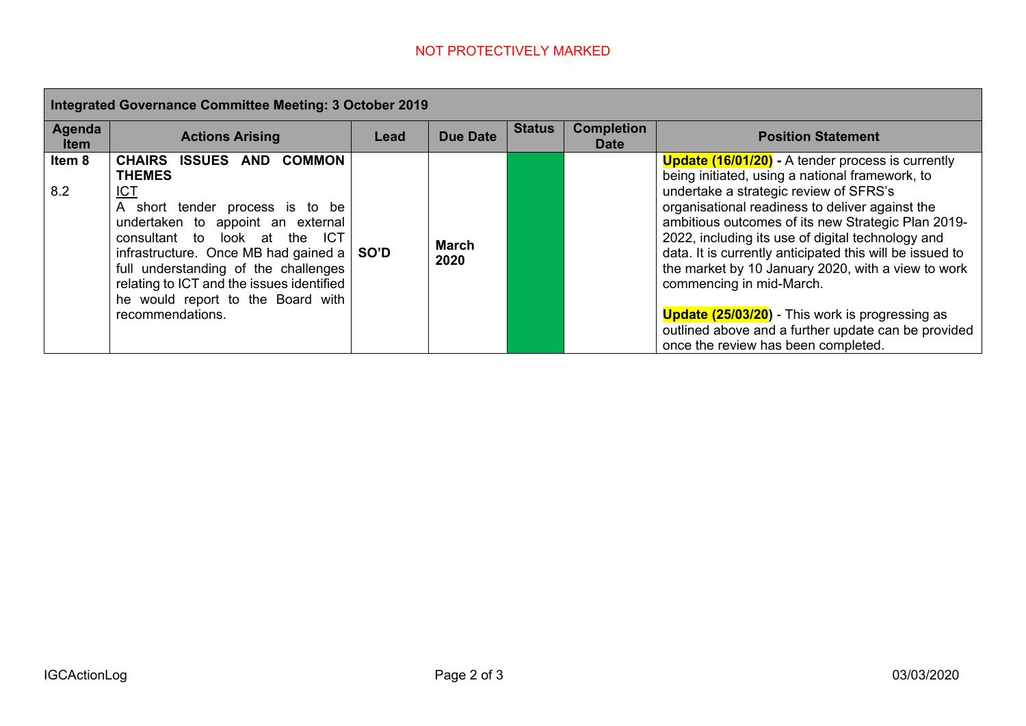| Integrated Governance Committee Meeting: 3 October 2019 |                                                                                                                                                                                                                                                                                                                                                                                                   |      |                      |               |                                  |                                                                                                                                                                                                                                                                                                                                                                                                                                                                                                                                                                                                                           |  |
|---------------------------------------------------------|---------------------------------------------------------------------------------------------------------------------------------------------------------------------------------------------------------------------------------------------------------------------------------------------------------------------------------------------------------------------------------------------------|------|----------------------|---------------|----------------------------------|---------------------------------------------------------------------------------------------------------------------------------------------------------------------------------------------------------------------------------------------------------------------------------------------------------------------------------------------------------------------------------------------------------------------------------------------------------------------------------------------------------------------------------------------------------------------------------------------------------------------------|--|
| Agenda<br><b>Item</b>                                   | <b>Actions Arising</b>                                                                                                                                                                                                                                                                                                                                                                            | Lead | <b>Due Date</b>      | <b>Status</b> | <b>Completion</b><br><b>Date</b> | <b>Position Statement</b>                                                                                                                                                                                                                                                                                                                                                                                                                                                                                                                                                                                                 |  |
| Item 8<br>8.2                                           | <b>CHAIRS</b><br><b>ISSUES</b><br><b>COMMON</b><br>AND<br><b>THEMES</b><br><u>ICT</u><br>A short tender process is to be<br>undertaken to appoint an external<br>consultant to look at the ICT<br>infrastructure. Once MB had gained a $\vert$ SO'D<br>full understanding of the challenges<br>relating to ICT and the issues identified<br>he would report to the Board with<br>recommendations. |      | <b>March</b><br>2020 |               |                                  | <b>Update (16/01/20)</b> - A tender process is currently<br>being initiated, using a national framework, to<br>undertake a strategic review of SFRS's<br>organisational readiness to deliver against the<br>ambitious outcomes of its new Strategic Plan 2019-<br>2022, including its use of digital technology and<br>data. It is currently anticipated this will be issued to<br>the market by 10 January 2020, with a view to work<br>commencing in mid-March.<br><b>Update (25/03/20)</b> - This work is progressing as<br>outlined above and a further update can be provided<br>once the review has been completed. |  |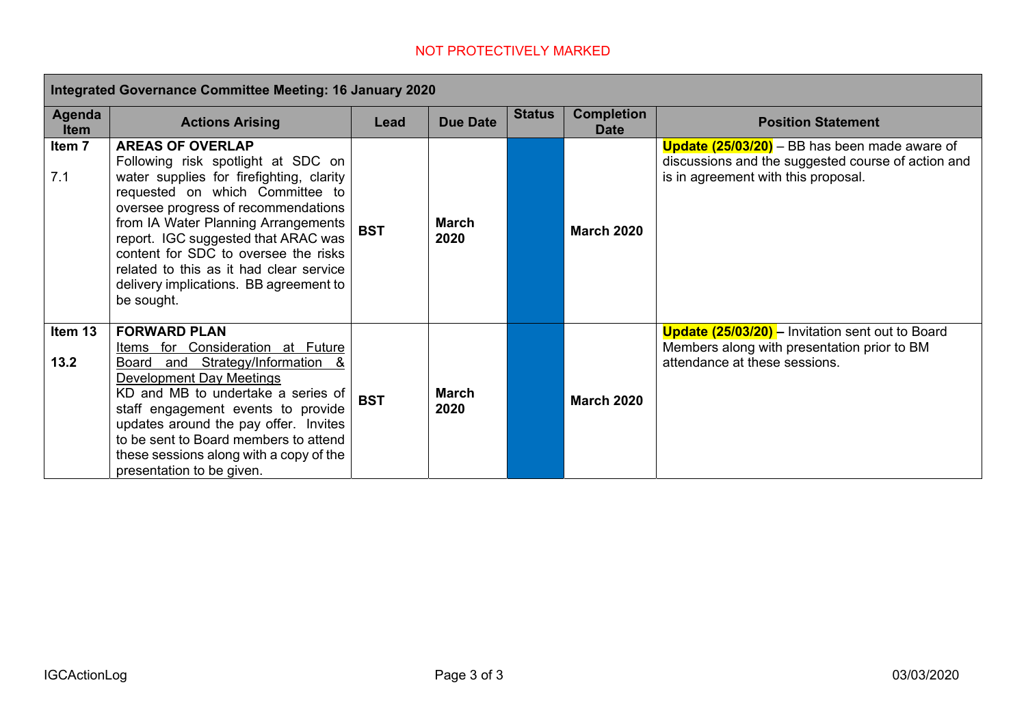|                       | <b>Integrated Governance Committee Meeting: 16 January 2020</b>                                                                                                                                                                                                                                                                                                                                              |            |                      |               |                                  |                                                                                                                                                   |  |  |
|-----------------------|--------------------------------------------------------------------------------------------------------------------------------------------------------------------------------------------------------------------------------------------------------------------------------------------------------------------------------------------------------------------------------------------------------------|------------|----------------------|---------------|----------------------------------|---------------------------------------------------------------------------------------------------------------------------------------------------|--|--|
| Agenda<br><b>Item</b> | <b>Actions Arising</b>                                                                                                                                                                                                                                                                                                                                                                                       | Lead       | <b>Due Date</b>      | <b>Status</b> | <b>Completion</b><br><b>Date</b> | <b>Position Statement</b>                                                                                                                         |  |  |
| Item 7<br>7.1         | <b>AREAS OF OVERLAP</b><br>Following risk spotlight at SDC on<br>water supplies for firefighting, clarity<br>requested on which Committee to<br>oversee progress of recommendations<br>from IA Water Planning Arrangements<br>report. IGC suggested that ARAC was<br>content for SDC to oversee the risks<br>related to this as it had clear service<br>delivery implications. BB agreement to<br>be sought. | <b>BST</b> | <b>March</b><br>2020 |               | <b>March 2020</b>                | <b>Update (25/03/20)</b> – BB has been made aware of<br>discussions and the suggested course of action and<br>is in agreement with this proposal. |  |  |
| Item 13<br>13.2       | <b>FORWARD PLAN</b><br>Items for Consideration at Future<br>Board and Strategy/Information &<br>Development Day Meetings<br>KD and MB to undertake a series of<br>staff engagement events to provide<br>updates around the pay offer. Invites<br>to be sent to Board members to attend<br>these sessions along with a copy of the<br>presentation to be given.                                               | <b>BST</b> | <b>March</b><br>2020 |               | <b>March 2020</b>                | <b>Update (25/03/20)</b> – Invitation sent out to Board<br>Members along with presentation prior to BM<br>attendance at these sessions.           |  |  |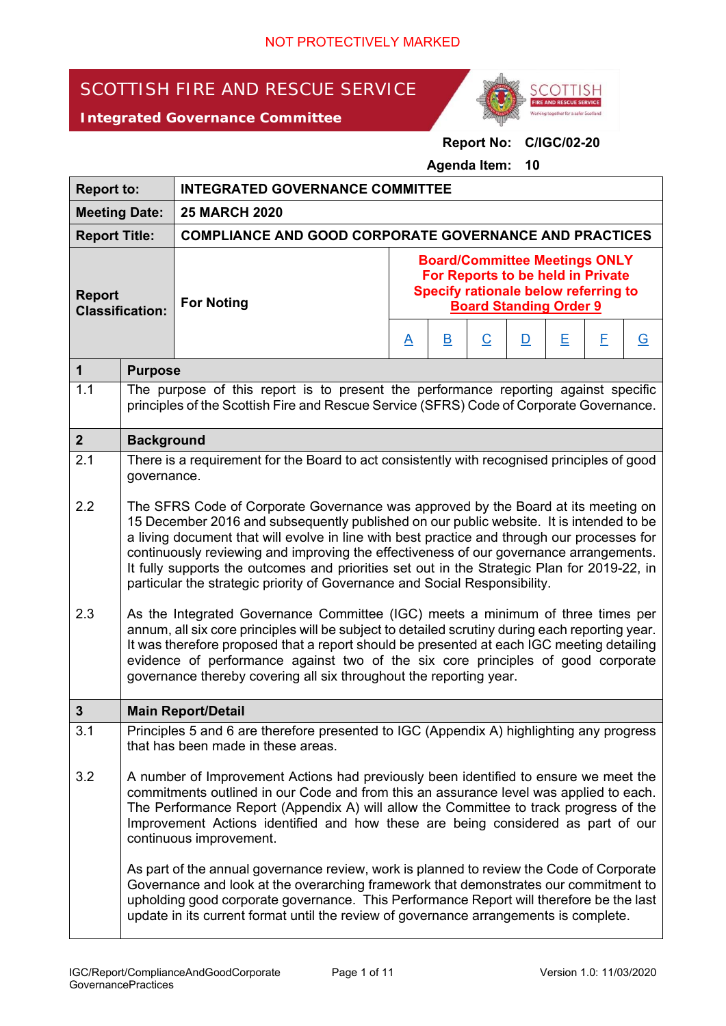# SCOTTISH FIRE AND RESCUE SERVICE





## **Report No: C/IGC/02-20**

**Agenda Item: 10** 

| <b>Report to:</b>                       |                                                                                                                                                                                                                                                                                                                                                                                                                                                                                                                                                                                                                                                                                                                                                                                                                                                                                                                           | <b>INTEGRATED GOVERNANCE COMMITTEE</b>                                                                                                                                                                                                                                                                                                                               |                                                                                                                                                    |                         |                          |                         |   |   |          |
|-----------------------------------------|---------------------------------------------------------------------------------------------------------------------------------------------------------------------------------------------------------------------------------------------------------------------------------------------------------------------------------------------------------------------------------------------------------------------------------------------------------------------------------------------------------------------------------------------------------------------------------------------------------------------------------------------------------------------------------------------------------------------------------------------------------------------------------------------------------------------------------------------------------------------------------------------------------------------------|----------------------------------------------------------------------------------------------------------------------------------------------------------------------------------------------------------------------------------------------------------------------------------------------------------------------------------------------------------------------|----------------------------------------------------------------------------------------------------------------------------------------------------|-------------------------|--------------------------|-------------------------|---|---|----------|
| <b>Meeting Date:</b>                    |                                                                                                                                                                                                                                                                                                                                                                                                                                                                                                                                                                                                                                                                                                                                                                                                                                                                                                                           | <b>25 MARCH 2020</b>                                                                                                                                                                                                                                                                                                                                                 |                                                                                                                                                    |                         |                          |                         |   |   |          |
| <b>Report Title:</b>                    |                                                                                                                                                                                                                                                                                                                                                                                                                                                                                                                                                                                                                                                                                                                                                                                                                                                                                                                           | <b>COMPLIANCE AND GOOD CORPORATE GOVERNANCE AND PRACTICES</b>                                                                                                                                                                                                                                                                                                        |                                                                                                                                                    |                         |                          |                         |   |   |          |
| <b>Report</b><br><b>Classification:</b> |                                                                                                                                                                                                                                                                                                                                                                                                                                                                                                                                                                                                                                                                                                                                                                                                                                                                                                                           | <b>For Noting</b>                                                                                                                                                                                                                                                                                                                                                    | <b>Board/Committee Meetings ONLY</b><br>For Reports to be held in Private<br>Specify rationale below referring to<br><b>Board Standing Order 9</b> |                         |                          |                         |   |   |          |
|                                         |                                                                                                                                                                                                                                                                                                                                                                                                                                                                                                                                                                                                                                                                                                                                                                                                                                                                                                                           |                                                                                                                                                                                                                                                                                                                                                                      | <u>A</u>                                                                                                                                           | $\overline{\mathsf{B}}$ | $\underline{\mathsf{C}}$ | $\overline{\mathsf{D}}$ | Ε | E | <u>G</u> |
| $\mathbf 1$                             | <b>Purpose</b>                                                                                                                                                                                                                                                                                                                                                                                                                                                                                                                                                                                                                                                                                                                                                                                                                                                                                                            |                                                                                                                                                                                                                                                                                                                                                                      |                                                                                                                                                    |                         |                          |                         |   |   |          |
| 1.1                                     |                                                                                                                                                                                                                                                                                                                                                                                                                                                                                                                                                                                                                                                                                                                                                                                                                                                                                                                           | The purpose of this report is to present the performance reporting against specific<br>principles of the Scottish Fire and Rescue Service (SFRS) Code of Corporate Governance.                                                                                                                                                                                       |                                                                                                                                                    |                         |                          |                         |   |   |          |
| $\overline{2}$                          | <b>Background</b>                                                                                                                                                                                                                                                                                                                                                                                                                                                                                                                                                                                                                                                                                                                                                                                                                                                                                                         |                                                                                                                                                                                                                                                                                                                                                                      |                                                                                                                                                    |                         |                          |                         |   |   |          |
| 2.1                                     | governance.                                                                                                                                                                                                                                                                                                                                                                                                                                                                                                                                                                                                                                                                                                                                                                                                                                                                                                               | There is a requirement for the Board to act consistently with recognised principles of good                                                                                                                                                                                                                                                                          |                                                                                                                                                    |                         |                          |                         |   |   |          |
| 2.2<br>2.3                              | The SFRS Code of Corporate Governance was approved by the Board at its meeting on<br>15 December 2016 and subsequently published on our public website. It is intended to be<br>a living document that will evolve in line with best practice and through our processes for<br>continuously reviewing and improving the effectiveness of our governance arrangements.<br>It fully supports the outcomes and priorities set out in the Strategic Plan for 2019-22, in<br>particular the strategic priority of Governance and Social Responsibility.<br>As the Integrated Governance Committee (IGC) meets a minimum of three times per<br>annum, all six core principles will be subject to detailed scrutiny during each reporting year.<br>It was therefore proposed that a report should be presented at each IGC meeting detailing<br>evidence of performance against two of the six core principles of good corporate |                                                                                                                                                                                                                                                                                                                                                                      |                                                                                                                                                    |                         |                          |                         |   |   |          |
|                                         |                                                                                                                                                                                                                                                                                                                                                                                                                                                                                                                                                                                                                                                                                                                                                                                                                                                                                                                           | governance thereby covering all six throughout the reporting year.                                                                                                                                                                                                                                                                                                   |                                                                                                                                                    |                         |                          |                         |   |   |          |
| 3                                       |                                                                                                                                                                                                                                                                                                                                                                                                                                                                                                                                                                                                                                                                                                                                                                                                                                                                                                                           | <b>Main Report/Detail</b>                                                                                                                                                                                                                                                                                                                                            |                                                                                                                                                    |                         |                          |                         |   |   |          |
| 3.1                                     |                                                                                                                                                                                                                                                                                                                                                                                                                                                                                                                                                                                                                                                                                                                                                                                                                                                                                                                           | Principles 5 and 6 are therefore presented to IGC (Appendix A) highlighting any progress<br>that has been made in these areas.                                                                                                                                                                                                                                       |                                                                                                                                                    |                         |                          |                         |   |   |          |
| 3.2                                     | A number of Improvement Actions had previously been identified to ensure we meet the<br>commitments outlined in our Code and from this an assurance level was applied to each.<br>The Performance Report (Appendix A) will allow the Committee to track progress of the<br>Improvement Actions identified and how these are being considered as part of our<br>continuous improvement.                                                                                                                                                                                                                                                                                                                                                                                                                                                                                                                                    |                                                                                                                                                                                                                                                                                                                                                                      |                                                                                                                                                    |                         |                          |                         |   |   |          |
|                                         |                                                                                                                                                                                                                                                                                                                                                                                                                                                                                                                                                                                                                                                                                                                                                                                                                                                                                                                           | As part of the annual governance review, work is planned to review the Code of Corporate<br>Governance and look at the overarching framework that demonstrates our commitment to<br>upholding good corporate governance. This Performance Report will therefore be the last<br>update in its current format until the review of governance arrangements is complete. |                                                                                                                                                    |                         |                          |                         |   |   |          |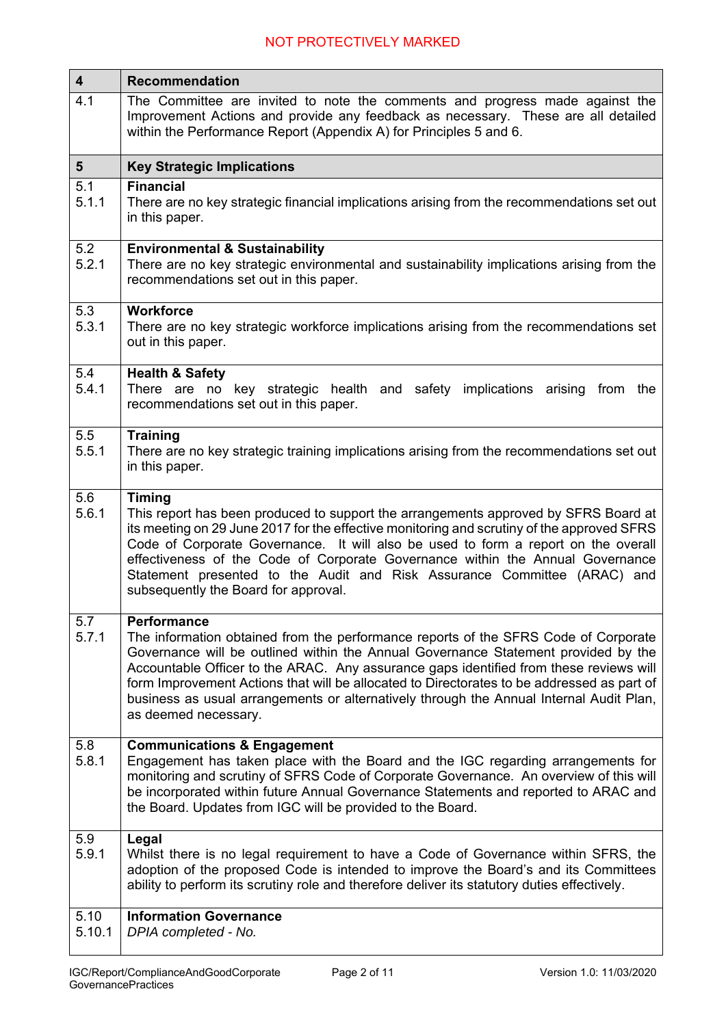| $\overline{\mathbf{4}}$ | <b>Recommendation</b>                                                                                                                                                                                                                                                                                                                                                                                                                                                                                      |
|-------------------------|------------------------------------------------------------------------------------------------------------------------------------------------------------------------------------------------------------------------------------------------------------------------------------------------------------------------------------------------------------------------------------------------------------------------------------------------------------------------------------------------------------|
| 4.1                     | The Committee are invited to note the comments and progress made against the<br>Improvement Actions and provide any feedback as necessary. These are all detailed<br>within the Performance Report (Appendix A) for Principles 5 and 6.                                                                                                                                                                                                                                                                    |
| 5 <sup>5</sup>          | <b>Key Strategic Implications</b>                                                                                                                                                                                                                                                                                                                                                                                                                                                                          |
| 5.1<br>5.1.1            | <b>Financial</b><br>There are no key strategic financial implications arising from the recommendations set out<br>in this paper.                                                                                                                                                                                                                                                                                                                                                                           |
| 5.2<br>5.2.1            | <b>Environmental &amp; Sustainability</b><br>There are no key strategic environmental and sustainability implications arising from the<br>recommendations set out in this paper.                                                                                                                                                                                                                                                                                                                           |
| 5.3<br>5.3.1            | <b>Workforce</b><br>There are no key strategic workforce implications arising from the recommendations set<br>out in this paper.                                                                                                                                                                                                                                                                                                                                                                           |
| 5.4<br>5.4.1            | <b>Health &amp; Safety</b><br>There are no key strategic health and safety<br>implications arising from<br>the<br>recommendations set out in this paper.                                                                                                                                                                                                                                                                                                                                                   |
| 5.5<br>5.5.1            | <b>Training</b><br>There are no key strategic training implications arising from the recommendations set out<br>in this paper.                                                                                                                                                                                                                                                                                                                                                                             |
| 5.6<br>5.6.1            | <b>Timing</b><br>This report has been produced to support the arrangements approved by SFRS Board at<br>its meeting on 29 June 2017 for the effective monitoring and scrutiny of the approved SFRS<br>Code of Corporate Governance. It will also be used to form a report on the overall<br>effectiveness of the Code of Corporate Governance within the Annual Governance<br>Statement presented to the Audit and Risk Assurance Committee (ARAC) and<br>subsequently the Board for approval.             |
| 5.7<br>5.7.1            | <b>Performance</b><br>The information obtained from the performance reports of the SFRS Code of Corporate<br>Governance will be outlined within the Annual Governance Statement provided by the<br>Accountable Officer to the ARAC. Any assurance gaps identified from these reviews will<br>form Improvement Actions that will be allocated to Directorates to be addressed as part of<br>business as usual arrangements or alternatively through the Annual Internal Audit Plan,<br>as deemed necessary. |
| 5.8<br>5.8.1            | <b>Communications &amp; Engagement</b><br>Engagement has taken place with the Board and the IGC regarding arrangements for<br>monitoring and scrutiny of SFRS Code of Corporate Governance. An overview of this will<br>be incorporated within future Annual Governance Statements and reported to ARAC and<br>the Board. Updates from IGC will be provided to the Board.                                                                                                                                  |
| 5.9<br>5.9.1            | Legal<br>Whilst there is no legal requirement to have a Code of Governance within SFRS, the<br>adoption of the proposed Code is intended to improve the Board's and its Committees<br>ability to perform its scrutiny role and therefore deliver its statutory duties effectively.                                                                                                                                                                                                                         |
| 5.10<br>5.10.1          | <b>Information Governance</b><br>DPIA completed - No.                                                                                                                                                                                                                                                                                                                                                                                                                                                      |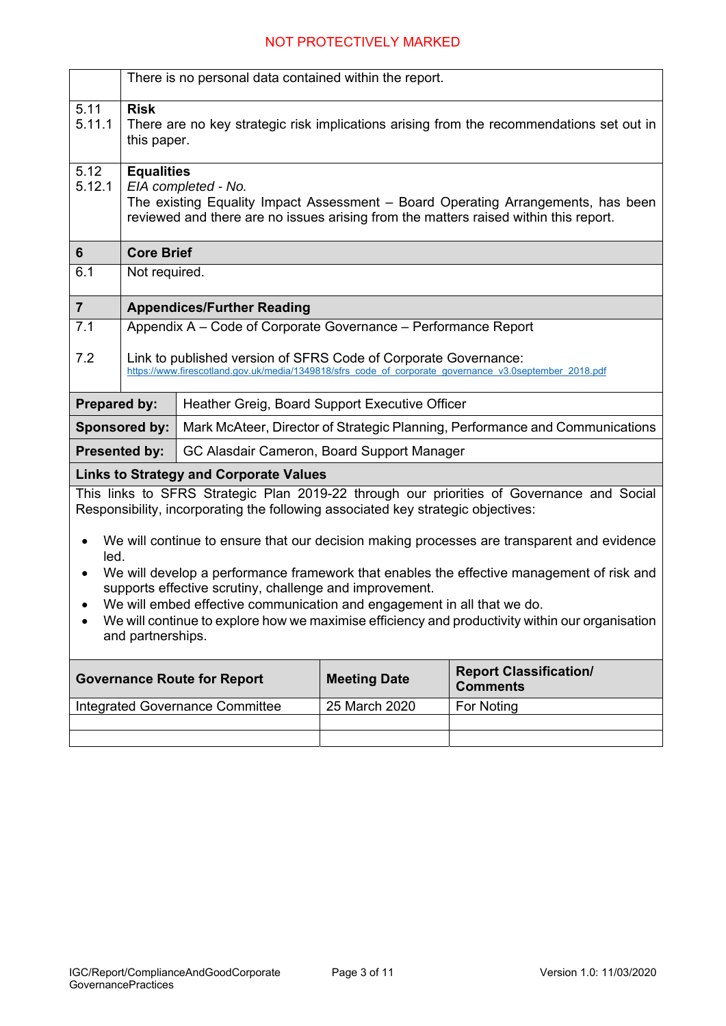|                      | There is no personal data contained within the report.                                                                                                                                                                                                                                                                                                                                                                                                        |                                                                                  |                     |                                                                                                        |  |  |  |  |
|----------------------|---------------------------------------------------------------------------------------------------------------------------------------------------------------------------------------------------------------------------------------------------------------------------------------------------------------------------------------------------------------------------------------------------------------------------------------------------------------|----------------------------------------------------------------------------------|---------------------|--------------------------------------------------------------------------------------------------------|--|--|--|--|
| 5.11<br>5.11.1       | <b>Risk</b><br>There are no key strategic risk implications arising from the recommendations set out in<br>this paper.                                                                                                                                                                                                                                                                                                                                        |                                                                                  |                     |                                                                                                        |  |  |  |  |
| 5.12<br>5.12.1       | <b>Equalities</b><br>EIA completed - No.<br>The existing Equality Impact Assessment – Board Operating Arrangements, has been<br>reviewed and there are no issues arising from the matters raised within this report.                                                                                                                                                                                                                                          |                                                                                  |                     |                                                                                                        |  |  |  |  |
| 6                    | <b>Core Brief</b>                                                                                                                                                                                                                                                                                                                                                                                                                                             |                                                                                  |                     |                                                                                                        |  |  |  |  |
| 6.1                  | Not required.                                                                                                                                                                                                                                                                                                                                                                                                                                                 |                                                                                  |                     |                                                                                                        |  |  |  |  |
| $\overline{7}$       |                                                                                                                                                                                                                                                                                                                                                                                                                                                               | <b>Appendices/Further Reading</b>                                                |                     |                                                                                                        |  |  |  |  |
| 7.1                  |                                                                                                                                                                                                                                                                                                                                                                                                                                                               | Appendix A - Code of Corporate Governance - Performance Report                   |                     |                                                                                                        |  |  |  |  |
| 7.2                  |                                                                                                                                                                                                                                                                                                                                                                                                                                                               | Link to published version of SFRS Code of Corporate Governance:                  |                     | https://www.firescotland.gov.uk/media/1349818/sfrs code of corporate governance v3.0september 2018.pdf |  |  |  |  |
| <b>Prepared by:</b>  |                                                                                                                                                                                                                                                                                                                                                                                                                                                               | Heather Greig, Board Support Executive Officer                                   |                     |                                                                                                        |  |  |  |  |
|                      | <b>Sponsored by:</b>                                                                                                                                                                                                                                                                                                                                                                                                                                          |                                                                                  |                     | Mark McAteer, Director of Strategic Planning, Performance and Communications                           |  |  |  |  |
| <b>Presented by:</b> |                                                                                                                                                                                                                                                                                                                                                                                                                                                               | GC Alasdair Cameron, Board Support Manager                                       |                     |                                                                                                        |  |  |  |  |
|                      |                                                                                                                                                                                                                                                                                                                                                                                                                                                               | <b>Links to Strategy and Corporate Values</b>                                    |                     |                                                                                                        |  |  |  |  |
|                      |                                                                                                                                                                                                                                                                                                                                                                                                                                                               | Responsibility, incorporating the following associated key strategic objectives: |                     | This links to SFRS Strategic Plan 2019-22 through our priorities of Governance and Social              |  |  |  |  |
|                      | We will continue to ensure that our decision making processes are transparent and evidence<br>led.<br>We will develop a performance framework that enables the effective management of risk and<br>supports effective scrutiny, challenge and improvement.<br>We will embed effective communication and engagement in all that we do.<br>We will continue to explore how we maximise efficiency and productivity within our organisation<br>and partnerships. |                                                                                  |                     |                                                                                                        |  |  |  |  |
|                      |                                                                                                                                                                                                                                                                                                                                                                                                                                                               | <b>Governance Route for Report</b>                                               | <b>Meeting Date</b> | <b>Report Classification/</b><br><b>Comments</b>                                                       |  |  |  |  |
|                      |                                                                                                                                                                                                                                                                                                                                                                                                                                                               | <b>Integrated Governance Committee</b>                                           | 25 March 2020       | For Noting                                                                                             |  |  |  |  |
|                      |                                                                                                                                                                                                                                                                                                                                                                                                                                                               |                                                                                  |                     |                                                                                                        |  |  |  |  |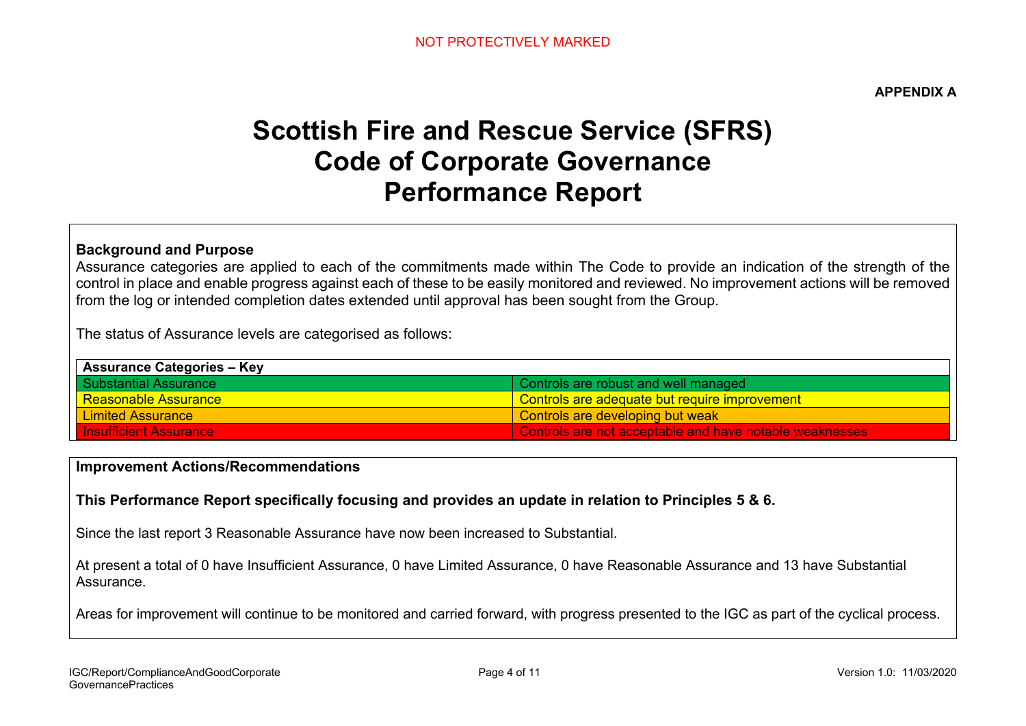**APPENDIX A** 

# **Scottish Fire and Rescue Service (SFRS) Code of Corporate Governance Performance Report**

### **Background and Purpose**

Assurance categories are applied to each of the commitments made within The Code to provide an indication of the strength of the control in place and enable progress against each of these to be easily monitored and reviewed. No improvement actions will be removed from the log or intended completion dates extended until approval has been sought from the Group.

The status of Assurance levels are categorised as follows:

| <b>Assurance Categories - Key</b> |                                                         |  |  |  |  |
|-----------------------------------|---------------------------------------------------------|--|--|--|--|
| I Substantial Assurance           | Controls are robust and well managed                    |  |  |  |  |
| <u>l Reasonable Assurance </u>    | Controls are adequate but require improvement           |  |  |  |  |
| Limited Assurance                 | Controls are developing but weak                        |  |  |  |  |
| <b>Insufficient Assurance</b>     | Controls are not acceptable and have notable weaknesses |  |  |  |  |

#### **Improvement Actions/Recommendations**

#### **This Performance Report specifically focusing and provides an update in relation to Principles 5 & 6.**

Since the last report 3 Reasonable Assurance have now been increased to Substantial.

At present a total of 0 have Insufficient Assurance, 0 have Limited Assurance, 0 have Reasonable Assurance and 13 have Substantial Assurance.

Areas for improvement will continue to be monitored and carried forward, with progress presented to the IGC as part of the cyclical process.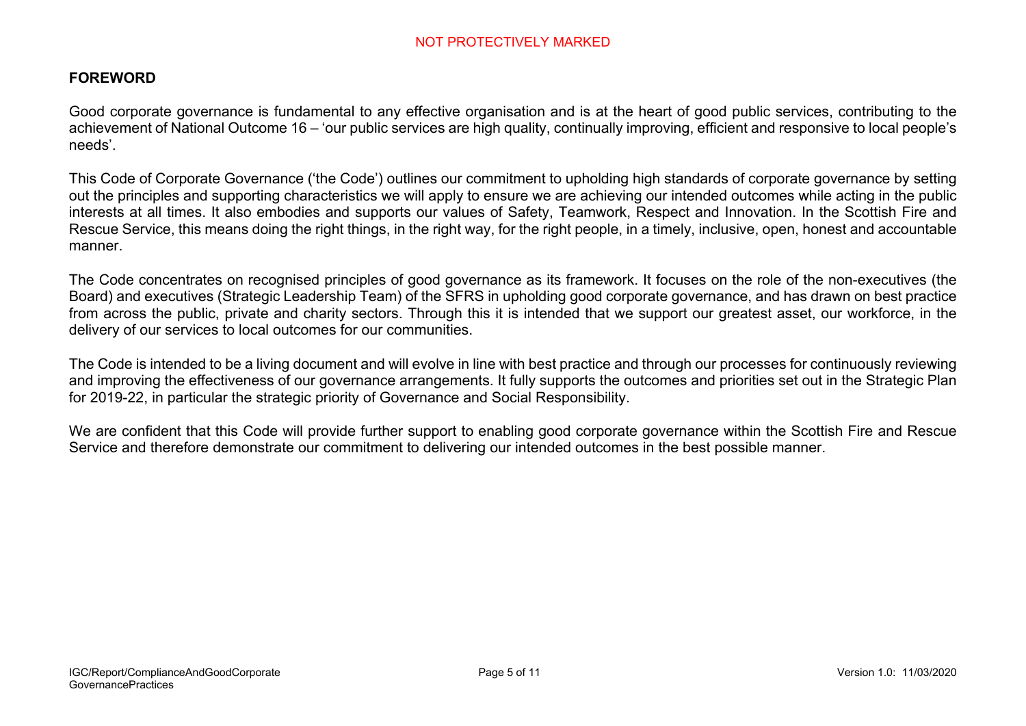## **FOREWORD**

Good corporate governance is fundamental to any effective organisation and is at the heart of good public services, contributing to the achievement of National Outcome 16 – 'our public services are high quality, continually improving, efficient and responsive to local people's needs'.

This Code of Corporate Governance ('the Code') outlines our commitment to upholding high standards of corporate governance by setting out the principles and supporting characteristics we will apply to ensure we are achieving our intended outcomes while acting in the public interests at all times. It also embodies and supports our values of Safety, Teamwork, Respect and Innovation. In the Scottish Fire and Rescue Service, this means doing the right things, in the right way, for the right people, in a timely, inclusive, open, honest and accountable manner.

The Code concentrates on recognised principles of good governance as its framework. It focuses on the role of the non-executives (the Board) and executives (Strategic Leadership Team) of the SFRS in upholding good corporate governance, and has drawn on best practice from across the public, private and charity sectors. Through this it is intended that we support our greatest asset, our workforce, in the delivery of our services to local outcomes for our communities.

The Code is intended to be a living document and will evolve in line with best practice and through our processes for continuously reviewing and improving the effectiveness of our governance arrangements. It fully supports the outcomes and priorities set out in the Strategic Plan for 2019-22, in particular the strategic priority of Governance and Social Responsibility.

We are confident that this Code will provide further support to enabling good corporate governance within the Scottish Fire and Rescue Service and therefore demonstrate our commitment to delivering our intended outcomes in the best possible manner.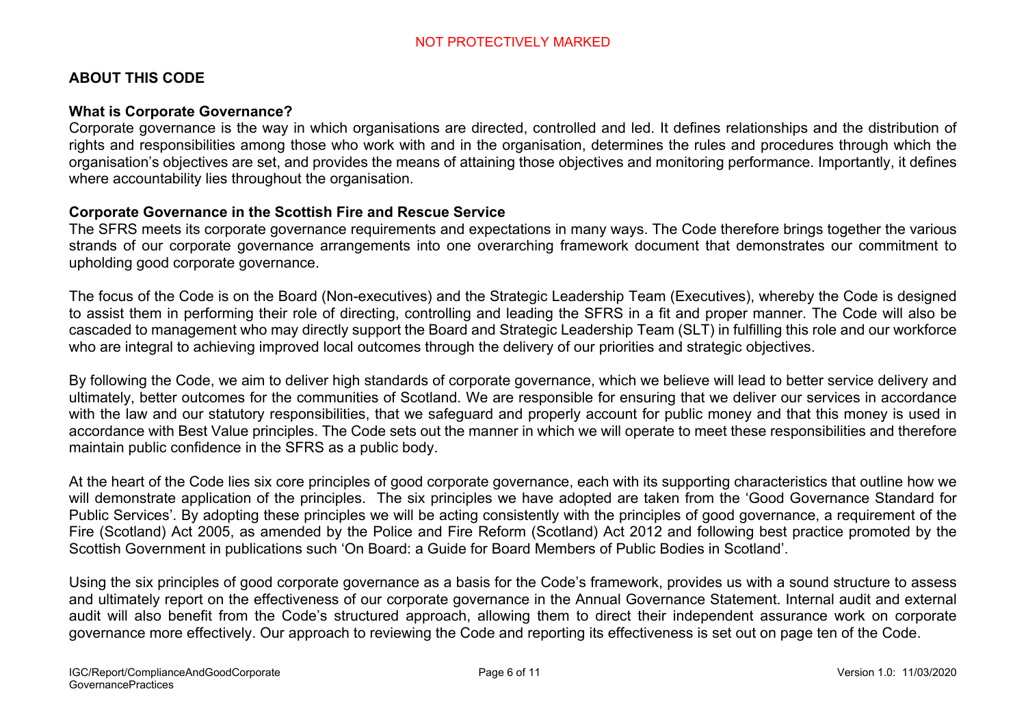## **ABOUT THIS CODE**

#### **What is Corporate Governance?**

Corporate governance is the way in which organisations are directed, controlled and led. It defines relationships and the distribution of rights and responsibilities among those who work with and in the organisation, determines the rules and procedures through which the organisation's objectives are set, and provides the means of attaining those objectives and monitoring performance. Importantly, it defines where accountability lies throughout the organisation.

#### **Corporate Governance in the Scottish Fire and Rescue Service**

The SFRS meets its corporate governance requirements and expectations in many ways. The Code therefore brings together the various strands of our corporate governance arrangements into one overarching framework document that demonstrates our commitment to upholding good corporate governance.

The focus of the Code is on the Board (Non-executives) and the Strategic Leadership Team (Executives), whereby the Code is designed to assist them in performing their role of directing, controlling and leading the SFRS in a fit and proper manner. The Code will also be cascaded to management who may directly support the Board and Strategic Leadership Team (SLT) in fulfilling this role and our workforce who are integral to achieving improved local outcomes through the delivery of our priorities and strategic objectives.

By following the Code, we aim to deliver high standards of corporate governance, which we believe will lead to better service delivery and ultimately, better outcomes for the communities of Scotland. We are responsible for ensuring that we deliver our services in accordance with the law and our statutory responsibilities, that we safeguard and properly account for public money and that this money is used in accordance with Best Value principles. The Code sets out the manner in which we will operate to meet these responsibilities and therefore maintain public confidence in the SFRS as a public body.

At the heart of the Code lies six core principles of good corporate governance, each with its supporting characteristics that outline how we will demonstrate application of the principles. The six principles we have adopted are taken from the 'Good Governance Standard for Public Services'. By adopting these principles we will be acting consistently with the principles of good governance, a requirement of the Fire (Scotland) Act 2005, as amended by the Police and Fire Reform (Scotland) Act 2012 and following best practice promoted by the Scottish Government in publications such 'On Board: a Guide for Board Members of Public Bodies in Scotland'.

Using the six principles of good corporate governance as a basis for the Code's framework, provides us with a sound structure to assess and ultimately report on the effectiveness of our corporate governance in the Annual Governance Statement. Internal audit and external audit will also benefit from the Code's structured approach, allowing them to direct their independent assurance work on corporate governance more effectively. Our approach to reviewing the Code and reporting its effectiveness is set out on page ten of the Code.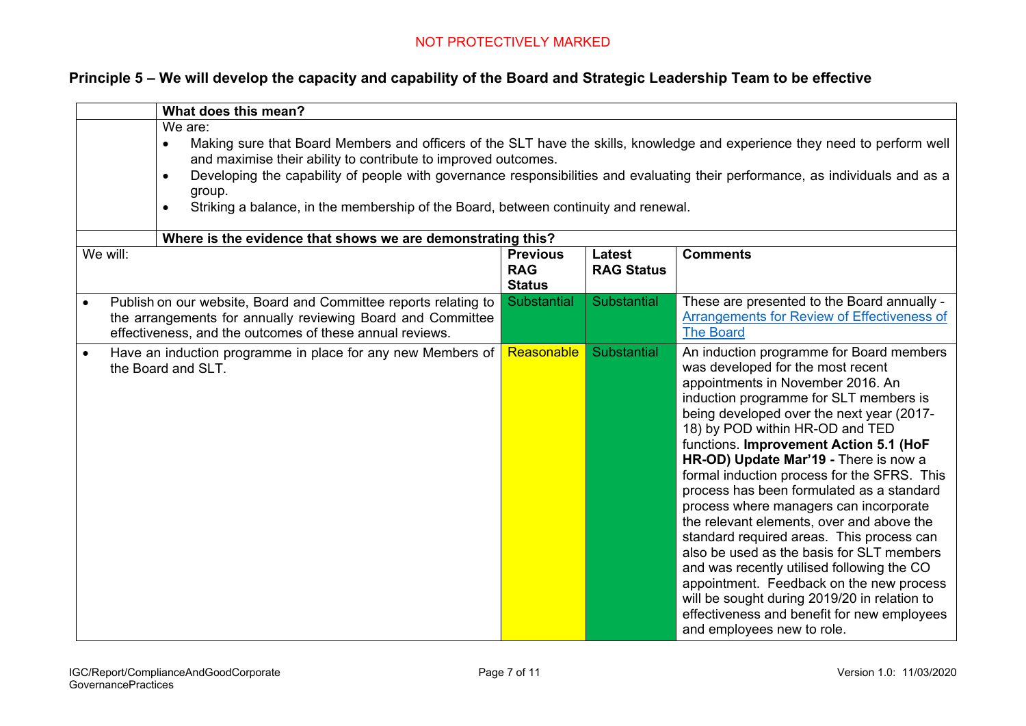## **Principle 5 – We will develop the capacity and capability of the Board and Strategic Leadership Team to be effective**

|           | What does this mean?                                                                                                                                                                                                                                                                                                                                                                                                                                                 |                                                |                                    |                                                                                                                                                                                                                                                                                                                                                                                                                                                                                                                                                                                                                                                                                                                                                                                                                                     |  |  |  |  |
|-----------|----------------------------------------------------------------------------------------------------------------------------------------------------------------------------------------------------------------------------------------------------------------------------------------------------------------------------------------------------------------------------------------------------------------------------------------------------------------------|------------------------------------------------|------------------------------------|-------------------------------------------------------------------------------------------------------------------------------------------------------------------------------------------------------------------------------------------------------------------------------------------------------------------------------------------------------------------------------------------------------------------------------------------------------------------------------------------------------------------------------------------------------------------------------------------------------------------------------------------------------------------------------------------------------------------------------------------------------------------------------------------------------------------------------------|--|--|--|--|
|           | We are:<br>Making sure that Board Members and officers of the SLT have the skills, knowledge and experience they need to perform well<br>$\bullet$<br>and maximise their ability to contribute to improved outcomes.<br>Developing the capability of people with governance responsibilities and evaluating their performance, as individuals and as a<br>$\bullet$<br>group.<br>Striking a balance, in the membership of the Board, between continuity and renewal. |                                                |                                    |                                                                                                                                                                                                                                                                                                                                                                                                                                                                                                                                                                                                                                                                                                                                                                                                                                     |  |  |  |  |
|           | Where is the evidence that shows we are demonstrating this?                                                                                                                                                                                                                                                                                                                                                                                                          |                                                |                                    |                                                                                                                                                                                                                                                                                                                                                                                                                                                                                                                                                                                                                                                                                                                                                                                                                                     |  |  |  |  |
|           | We will:                                                                                                                                                                                                                                                                                                                                                                                                                                                             | <b>Previous</b><br><b>RAG</b><br><b>Status</b> | <b>Latest</b><br><b>RAG Status</b> | <b>Comments</b>                                                                                                                                                                                                                                                                                                                                                                                                                                                                                                                                                                                                                                                                                                                                                                                                                     |  |  |  |  |
| $\bullet$ | Publish on our website, Board and Committee reports relating to<br>the arrangements for annually reviewing Board and Committee<br>effectiveness, and the outcomes of these annual reviews.                                                                                                                                                                                                                                                                           | <b>Substantial</b>                             | <b>Substantial</b>                 | These are presented to the Board annually -<br><b>Arrangements for Review of Effectiveness of</b><br><b>The Board</b>                                                                                                                                                                                                                                                                                                                                                                                                                                                                                                                                                                                                                                                                                                               |  |  |  |  |
| $\bullet$ | Have an induction programme in place for any new Members of<br>the Board and SLT.                                                                                                                                                                                                                                                                                                                                                                                    | Reasonable                                     | Substantial                        | An induction programme for Board members<br>was developed for the most recent<br>appointments in November 2016. An<br>induction programme for SLT members is<br>being developed over the next year (2017-<br>18) by POD within HR-OD and TED<br>functions. Improvement Action 5.1 (HoF<br>HR-OD) Update Mar'19 - There is now a<br>formal induction process for the SFRS. This<br>process has been formulated as a standard<br>process where managers can incorporate<br>the relevant elements, over and above the<br>standard required areas. This process can<br>also be used as the basis for SLT members<br>and was recently utilised following the CO<br>appointment. Feedback on the new process<br>will be sought during 2019/20 in relation to<br>effectiveness and benefit for new employees<br>and employees new to role. |  |  |  |  |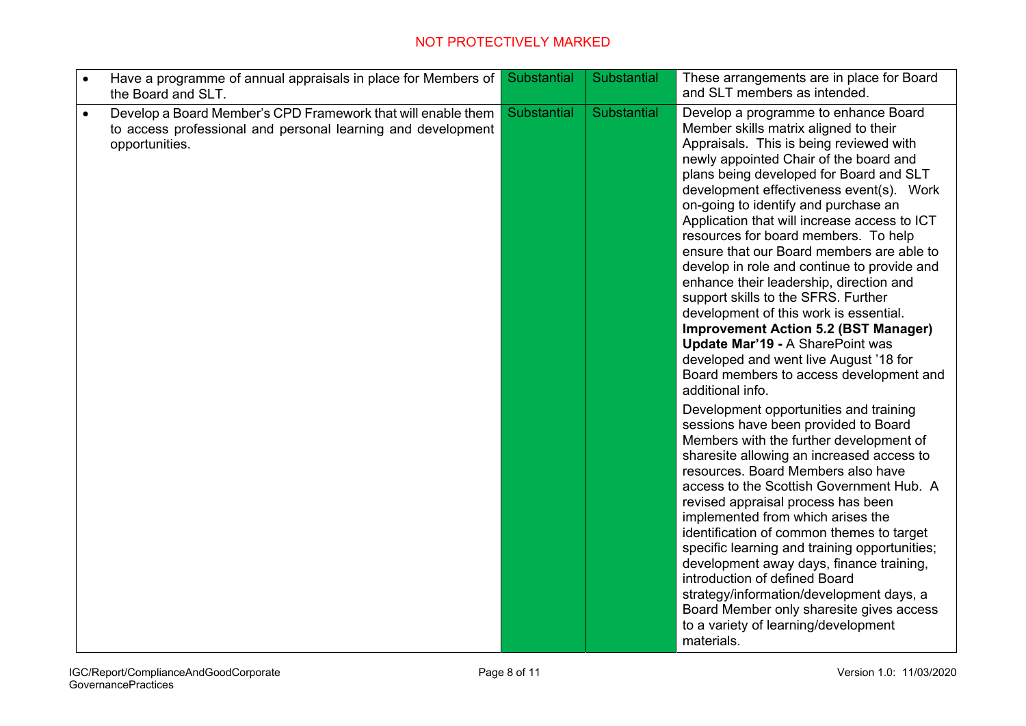| Have a programme of annual appraisals in place for Members of<br>$\bullet$<br>the Board and SLT.                                                            | Substantial | Substantial | These arrangements are in place for Board<br>and SLT members as intended.                                                                                                                                                                                                                                                                                                                                                                                                                                                                                                                                                                                                                                                                                                                                     |
|-------------------------------------------------------------------------------------------------------------------------------------------------------------|-------------|-------------|---------------------------------------------------------------------------------------------------------------------------------------------------------------------------------------------------------------------------------------------------------------------------------------------------------------------------------------------------------------------------------------------------------------------------------------------------------------------------------------------------------------------------------------------------------------------------------------------------------------------------------------------------------------------------------------------------------------------------------------------------------------------------------------------------------------|
| Develop a Board Member's CPD Framework that will enable them<br>$\bullet$<br>to access professional and personal learning and development<br>opportunities. | Substantial | Substantial | Develop a programme to enhance Board<br>Member skills matrix aligned to their<br>Appraisals. This is being reviewed with<br>newly appointed Chair of the board and<br>plans being developed for Board and SLT<br>development effectiveness event(s). Work<br>on-going to identify and purchase an<br>Application that will increase access to ICT<br>resources for board members. To help<br>ensure that our Board members are able to<br>develop in role and continue to provide and<br>enhance their leadership, direction and<br>support skills to the SFRS. Further<br>development of this work is essential.<br><b>Improvement Action 5.2 (BST Manager)</b><br>Update Mar'19 - A SharePoint was<br>developed and went live August '18 for<br>Board members to access development and<br>additional info. |
|                                                                                                                                                             |             |             | Development opportunities and training<br>sessions have been provided to Board<br>Members with the further development of<br>sharesite allowing an increased access to<br>resources. Board Members also have<br>access to the Scottish Government Hub. A<br>revised appraisal process has been<br>implemented from which arises the<br>identification of common themes to target<br>specific learning and training opportunities;<br>development away days, finance training,<br>introduction of defined Board<br>strategy/information/development days, a<br>Board Member only sharesite gives access<br>to a variety of learning/development<br>materials.                                                                                                                                                  |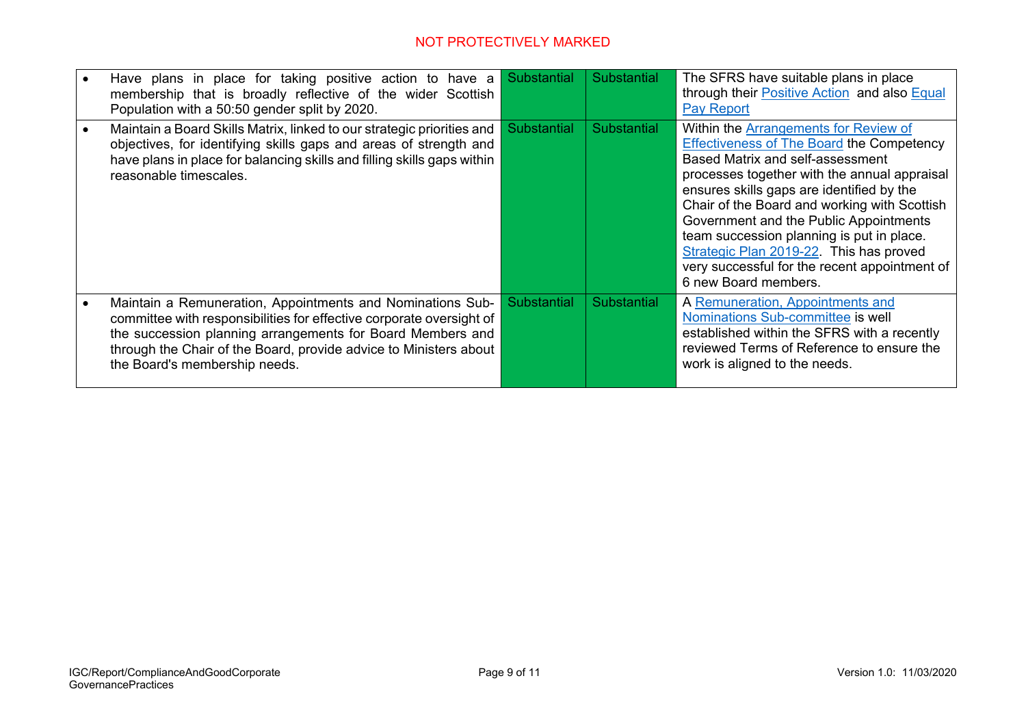| Have plans in place for taking positive action to have a<br>membership that is broadly reflective of the wider Scottish<br>Population with a 50:50 gender split by 2020.                                                                                                                               | Substantial        | <b>Substantial</b> | The SFRS have suitable plans in place<br>through their Positive Action and also Equal<br><b>Pay Report</b>                                                                                                                                                                                                                                                                                                                                                                                   |
|--------------------------------------------------------------------------------------------------------------------------------------------------------------------------------------------------------------------------------------------------------------------------------------------------------|--------------------|--------------------|----------------------------------------------------------------------------------------------------------------------------------------------------------------------------------------------------------------------------------------------------------------------------------------------------------------------------------------------------------------------------------------------------------------------------------------------------------------------------------------------|
| Maintain a Board Skills Matrix, linked to our strategic priorities and<br>objectives, for identifying skills gaps and areas of strength and<br>have plans in place for balancing skills and filling skills gaps within<br>reasonable timescales.                                                       | <b>Substantial</b> | <b>Substantial</b> | Within the <b>Arrangements</b> for Review of<br><b>Effectiveness of The Board the Competency</b><br>Based Matrix and self-assessment<br>processes together with the annual appraisal<br>ensures skills gaps are identified by the<br>Chair of the Board and working with Scottish<br>Government and the Public Appointments<br>team succession planning is put in place.<br>Strategic Plan 2019-22. This has proved<br>very successful for the recent appointment of<br>6 new Board members. |
| Maintain a Remuneration, Appointments and Nominations Sub-<br>committee with responsibilities for effective corporate oversight of<br>the succession planning arrangements for Board Members and<br>through the Chair of the Board, provide advice to Ministers about<br>the Board's membership needs. | <b>Substantial</b> | <b>Substantial</b> | A Remuneration, Appointments and<br>Nominations Sub-committee is well<br>established within the SFRS with a recently<br>reviewed Terms of Reference to ensure the<br>work is aligned to the needs.                                                                                                                                                                                                                                                                                           |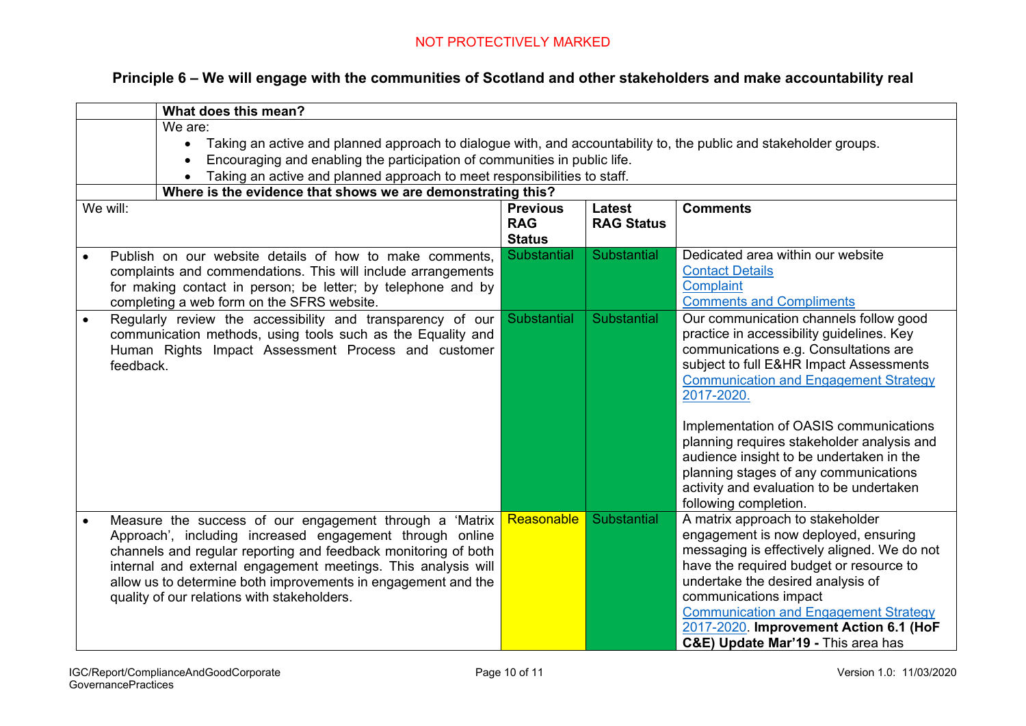| Principle 6 – We will engage with the communities of Scotland and other stakeholders and make accountability real |  |  |  |
|-------------------------------------------------------------------------------------------------------------------|--|--|--|
|-------------------------------------------------------------------------------------------------------------------|--|--|--|

|                                                                                                                                                                                                                                                                          | What does this mean?                                                                                                                                                                                                                                                                                                                                                   |                                                |                                    |                                                                                                                                                                                                                                                                                                                                                                                                                                                                                         |  |  |  |  |  |  |
|--------------------------------------------------------------------------------------------------------------------------------------------------------------------------------------------------------------------------------------------------------------------------|------------------------------------------------------------------------------------------------------------------------------------------------------------------------------------------------------------------------------------------------------------------------------------------------------------------------------------------------------------------------|------------------------------------------------|------------------------------------|-----------------------------------------------------------------------------------------------------------------------------------------------------------------------------------------------------------------------------------------------------------------------------------------------------------------------------------------------------------------------------------------------------------------------------------------------------------------------------------------|--|--|--|--|--|--|
|                                                                                                                                                                                                                                                                          | We are:<br>Taking an active and planned approach to dialogue with, and accountability to, the public and stakeholder groups.<br>$\bullet$<br>Encouraging and enabling the participation of communities in public life.<br>Taking an active and planned approach to meet responsibilities to staff.<br>Where is the evidence that shows we are demonstrating this?      |                                                |                                    |                                                                                                                                                                                                                                                                                                                                                                                                                                                                                         |  |  |  |  |  |  |
| We will:                                                                                                                                                                                                                                                                 |                                                                                                                                                                                                                                                                                                                                                                        | <b>Previous</b><br><b>RAG</b><br><b>Status</b> | <b>Latest</b><br><b>RAG Status</b> | <b>Comments</b>                                                                                                                                                                                                                                                                                                                                                                                                                                                                         |  |  |  |  |  |  |
| <b>Substantial</b><br>Publish on our website details of how to make comments,<br>$\bullet$<br>complaints and commendations. This will include arrangements<br>for making contact in person; be letter; by telephone and by<br>completing a web form on the SFRS website. |                                                                                                                                                                                                                                                                                                                                                                        |                                                | Substantial                        | Dedicated area within our website<br><b>Contact Details</b><br>Complaint<br><b>Comments and Compliments</b>                                                                                                                                                                                                                                                                                                                                                                             |  |  |  |  |  |  |
| $\bullet$                                                                                                                                                                                                                                                                | Regularly review the accessibility and transparency of our<br>communication methods, using tools such as the Equality and<br>Human Rights Impact Assessment Process and customer<br>feedback.                                                                                                                                                                          |                                                | <b>Substantial</b>                 | Our communication channels follow good<br>practice in accessibility guidelines. Key<br>communications e.g. Consultations are<br>subject to full E&HR Impact Assessments<br><b>Communication and Engagement Strategy</b><br>2017-2020.<br>Implementation of OASIS communications<br>planning requires stakeholder analysis and<br>audience insight to be undertaken in the<br>planning stages of any communications<br>activity and evaluation to be undertaken<br>following completion. |  |  |  |  |  |  |
|                                                                                                                                                                                                                                                                          | Measure the success of our engagement through a 'Matrix<br>Approach', including increased engagement through online<br>channels and regular reporting and feedback monitoring of both<br>internal and external engagement meetings. This analysis will<br>allow us to determine both improvements in engagement and the<br>quality of our relations with stakeholders. | Reasonable                                     | Substantial                        | A matrix approach to stakeholder<br>engagement is now deployed, ensuring<br>messaging is effectively aligned. We do not<br>have the required budget or resource to<br>undertake the desired analysis of<br>communications impact<br><b>Communication and Engagement Strategy</b><br>2017-2020. Improvement Action 6.1 (HoF<br>C&E) Update Mar'19 - This area has                                                                                                                        |  |  |  |  |  |  |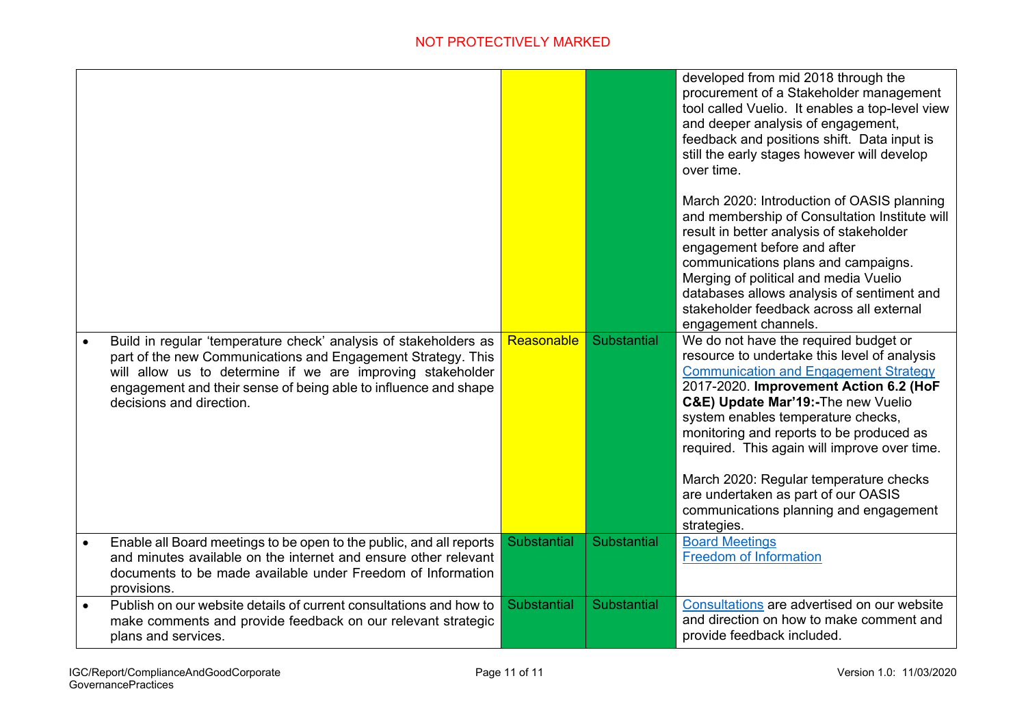|           |                                                                                                                                                                                                                                                                                               |                    |                    | developed from mid 2018 through the<br>procurement of a Stakeholder management<br>tool called Vuelio. It enables a top-level view<br>and deeper analysis of engagement,<br>feedback and positions shift. Data input is<br>still the early stages however will develop<br>over time.                                                                                                                                                                                                               |
|-----------|-----------------------------------------------------------------------------------------------------------------------------------------------------------------------------------------------------------------------------------------------------------------------------------------------|--------------------|--------------------|---------------------------------------------------------------------------------------------------------------------------------------------------------------------------------------------------------------------------------------------------------------------------------------------------------------------------------------------------------------------------------------------------------------------------------------------------------------------------------------------------|
|           |                                                                                                                                                                                                                                                                                               |                    |                    | March 2020: Introduction of OASIS planning<br>and membership of Consultation Institute will<br>result in better analysis of stakeholder<br>engagement before and after<br>communications plans and campaigns.<br>Merging of political and media Vuelio<br>databases allows analysis of sentiment and<br>stakeholder feedback across all external<br>engagement channels.                                                                                                                          |
|           | Build in regular 'temperature check' analysis of stakeholders as<br>part of the new Communications and Engagement Strategy. This<br>will allow us to determine if we are improving stakeholder<br>engagement and their sense of being able to influence and shape<br>decisions and direction. | Reasonable         | Substantial        | We do not have the required budget or<br>resource to undertake this level of analysis<br><b>Communication and Engagement Strategy</b><br>2017-2020. Improvement Action 6.2 (HoF<br>C&E) Update Mar'19:-The new Vuelio<br>system enables temperature checks,<br>monitoring and reports to be produced as<br>required. This again will improve over time.<br>March 2020: Regular temperature checks<br>are undertaken as part of our OASIS<br>communications planning and engagement<br>strategies. |
| $\bullet$ | Enable all Board meetings to be open to the public, and all reports<br>and minutes available on the internet and ensure other relevant<br>documents to be made available under Freedom of Information<br>provisions.                                                                          | <b>Substantial</b> | <b>Substantial</b> | <b>Board Meetings</b><br><b>Freedom of Information</b>                                                                                                                                                                                                                                                                                                                                                                                                                                            |
| $\bullet$ | Publish on our website details of current consultations and how to<br>make comments and provide feedback on our relevant strategic<br>plans and services.                                                                                                                                     | Substantial        | <b>Substantial</b> | Consultations are advertised on our website<br>and direction on how to make comment and<br>provide feedback included.                                                                                                                                                                                                                                                                                                                                                                             |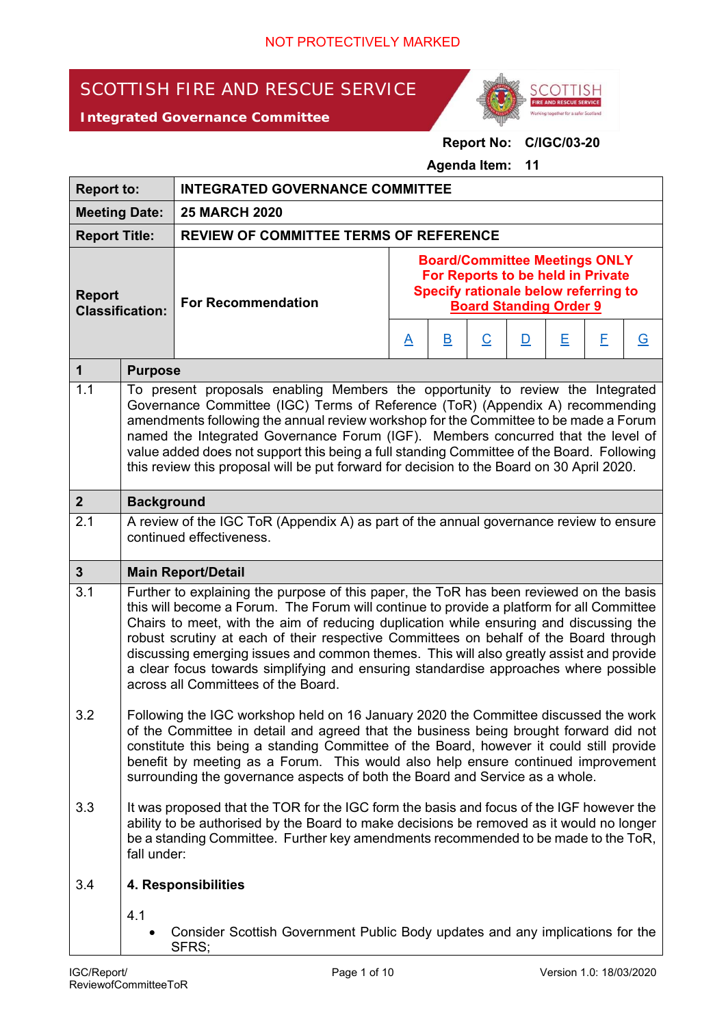# SCOTTISH FIRE AND RESCUE SERVICE





## **Report No: C/IGC/03-20**

#### **Agenda Item: 11**

| <b>Report to:</b>                       |                                                                                                                                                                                                                                                                                                                                                                                                                                                                                                                                                                                                   | <b>INTEGRATED GOVERNANCE COMMITTEE</b>                                                                                                                                                                                                                                                                                                                                                                                                      |                                                                                                                                                                                                                                   |  |  |                |  |  |  |
|-----------------------------------------|---------------------------------------------------------------------------------------------------------------------------------------------------------------------------------------------------------------------------------------------------------------------------------------------------------------------------------------------------------------------------------------------------------------------------------------------------------------------------------------------------------------------------------------------------------------------------------------------------|---------------------------------------------------------------------------------------------------------------------------------------------------------------------------------------------------------------------------------------------------------------------------------------------------------------------------------------------------------------------------------------------------------------------------------------------|-----------------------------------------------------------------------------------------------------------------------------------------------------------------------------------------------------------------------------------|--|--|----------------|--|--|--|
| <b>Meeting Date:</b>                    |                                                                                                                                                                                                                                                                                                                                                                                                                                                                                                                                                                                                   | <b>25 MARCH 2020</b>                                                                                                                                                                                                                                                                                                                                                                                                                        |                                                                                                                                                                                                                                   |  |  |                |  |  |  |
| <b>Report Title:</b>                    |                                                                                                                                                                                                                                                                                                                                                                                                                                                                                                                                                                                                   | <b>REVIEW OF COMMITTEE TERMS OF REFERENCE</b>                                                                                                                                                                                                                                                                                                                                                                                               |                                                                                                                                                                                                                                   |  |  |                |  |  |  |
| <b>Report</b><br><b>Classification:</b> |                                                                                                                                                                                                                                                                                                                                                                                                                                                                                                                                                                                                   | <b>For Recommendation</b>                                                                                                                                                                                                                                                                                                                                                                                                                   | <b>Board/Committee Meetings ONLY</b><br>For Reports to be held in Private<br>Specify rationale below referring to<br><b>Board Standing Order 9</b><br>E<br>Ε<br>$\overline{C}$<br>$\overline{\mathbf{B}}$<br>D<br>$\underline{A}$ |  |  | $\overline{G}$ |  |  |  |
| $\mathbf{1}$                            | <b>Purpose</b>                                                                                                                                                                                                                                                                                                                                                                                                                                                                                                                                                                                    |                                                                                                                                                                                                                                                                                                                                                                                                                                             |                                                                                                                                                                                                                                   |  |  |                |  |  |  |
| 1.1                                     | To present proposals enabling Members the opportunity to review the Integrated<br>Governance Committee (IGC) Terms of Reference (ToR) (Appendix A) recommending<br>amendments following the annual review workshop for the Committee to be made a Forum<br>named the Integrated Governance Forum (IGF). Members concurred that the level of<br>value added does not support this being a full standing Committee of the Board. Following<br>this review this proposal will be put forward for decision to the Board on 30 April 2020.                                                             |                                                                                                                                                                                                                                                                                                                                                                                                                                             |                                                                                                                                                                                                                                   |  |  |                |  |  |  |
| 2 <sup>1</sup>                          | <b>Background</b>                                                                                                                                                                                                                                                                                                                                                                                                                                                                                                                                                                                 |                                                                                                                                                                                                                                                                                                                                                                                                                                             |                                                                                                                                                                                                                                   |  |  |                |  |  |  |
| 2.1                                     | A review of the IGC ToR (Appendix A) as part of the annual governance review to ensure<br>continued effectiveness.                                                                                                                                                                                                                                                                                                                                                                                                                                                                                |                                                                                                                                                                                                                                                                                                                                                                                                                                             |                                                                                                                                                                                                                                   |  |  |                |  |  |  |
| $\mathbf{3}$                            |                                                                                                                                                                                                                                                                                                                                                                                                                                                                                                                                                                                                   | <b>Main Report/Detail</b>                                                                                                                                                                                                                                                                                                                                                                                                                   |                                                                                                                                                                                                                                   |  |  |                |  |  |  |
| 3.1                                     | Further to explaining the purpose of this paper, the ToR has been reviewed on the basis<br>this will become a Forum. The Forum will continue to provide a platform for all Committee<br>Chairs to meet, with the aim of reducing duplication while ensuring and discussing the<br>robust scrutiny at each of their respective Committees on behalf of the Board through<br>discussing emerging issues and common themes. This will also greatly assist and provide<br>a clear focus towards simplifying and ensuring standardise approaches where possible<br>across all Committees of the Board. |                                                                                                                                                                                                                                                                                                                                                                                                                                             |                                                                                                                                                                                                                                   |  |  |                |  |  |  |
| 3.2                                     |                                                                                                                                                                                                                                                                                                                                                                                                                                                                                                                                                                                                   | Following the IGC workshop held on 16 January 2020 the Committee discussed the work<br>of the Committee in detail and agreed that the business being brought forward did not<br>constitute this being a standing Committee of the Board, however it could still provide<br>benefit by meeting as a Forum. This would also help ensure continued improvement<br>surrounding the governance aspects of both the Board and Service as a whole. |                                                                                                                                                                                                                                   |  |  |                |  |  |  |
| 3.3<br>fall under:                      |                                                                                                                                                                                                                                                                                                                                                                                                                                                                                                                                                                                                   | It was proposed that the TOR for the IGC form the basis and focus of the IGF however the<br>ability to be authorised by the Board to make decisions be removed as it would no longer<br>be a standing Committee. Further key amendments recommended to be made to the ToR,                                                                                                                                                                  |                                                                                                                                                                                                                                   |  |  |                |  |  |  |
| 3.4                                     |                                                                                                                                                                                                                                                                                                                                                                                                                                                                                                                                                                                                   | 4. Responsibilities                                                                                                                                                                                                                                                                                                                                                                                                                         |                                                                                                                                                                                                                                   |  |  |                |  |  |  |
|                                         | 4.1                                                                                                                                                                                                                                                                                                                                                                                                                                                                                                                                                                                               | Consider Scottish Government Public Body updates and any implications for the<br>SFRS;                                                                                                                                                                                                                                                                                                                                                      |                                                                                                                                                                                                                                   |  |  |                |  |  |  |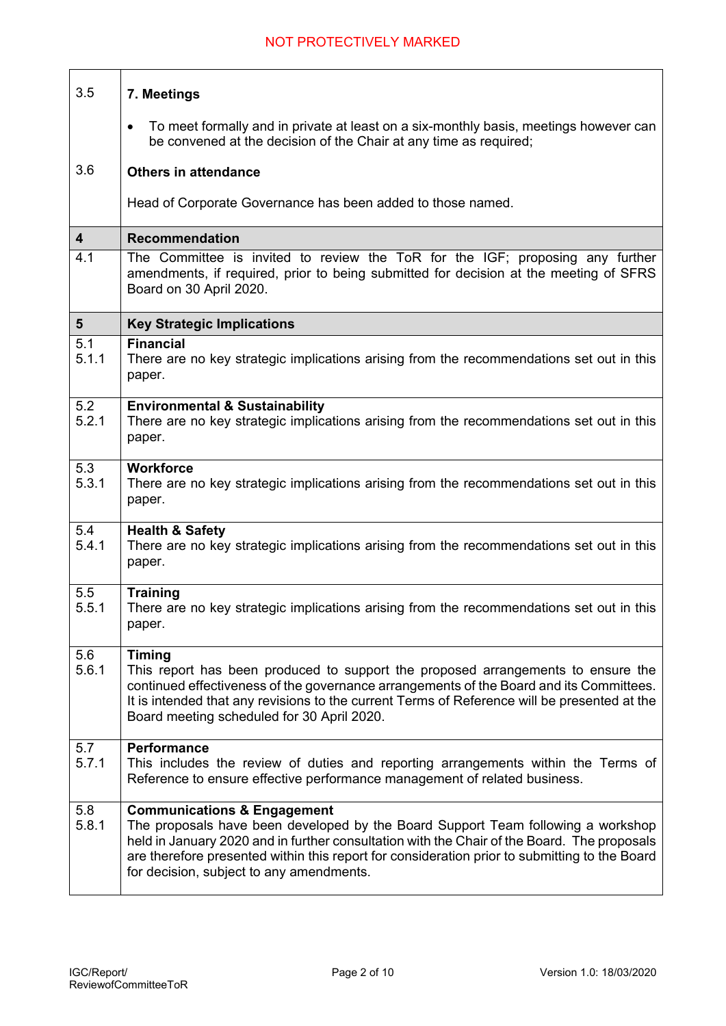| 3.5             | 7. Meetings                                                                                                                                                                                                                                                                                                                                                            |
|-----------------|------------------------------------------------------------------------------------------------------------------------------------------------------------------------------------------------------------------------------------------------------------------------------------------------------------------------------------------------------------------------|
|                 | To meet formally and in private at least on a six-monthly basis, meetings however can<br>$\bullet$<br>be convened at the decision of the Chair at any time as required;                                                                                                                                                                                                |
| 3.6             | <b>Others in attendance</b>                                                                                                                                                                                                                                                                                                                                            |
|                 | Head of Corporate Governance has been added to those named.                                                                                                                                                                                                                                                                                                            |
| 4               | <b>Recommendation</b>                                                                                                                                                                                                                                                                                                                                                  |
| 4.1             | The Committee is invited to review the ToR for the IGF; proposing any further<br>amendments, if required, prior to being submitted for decision at the meeting of SFRS<br>Board on 30 April 2020.                                                                                                                                                                      |
| $5\phantom{.0}$ | <b>Key Strategic Implications</b>                                                                                                                                                                                                                                                                                                                                      |
| 5.1<br>5.1.1    | <b>Financial</b><br>There are no key strategic implications arising from the recommendations set out in this<br>paper.                                                                                                                                                                                                                                                 |
| 5.2<br>5.2.1    | <b>Environmental &amp; Sustainability</b><br>There are no key strategic implications arising from the recommendations set out in this<br>paper.                                                                                                                                                                                                                        |
| 5.3<br>5.3.1    | <b>Workforce</b><br>There are no key strategic implications arising from the recommendations set out in this<br>paper.                                                                                                                                                                                                                                                 |
| 5.4<br>5.4.1    | <b>Health &amp; Safety</b><br>There are no key strategic implications arising from the recommendations set out in this<br>paper.                                                                                                                                                                                                                                       |
| 5.5<br>5.5.1    | <b>Training</b><br>There are no key strategic implications arising from the recommendations set out in this<br>paper.                                                                                                                                                                                                                                                  |
| 5.6<br>5.6.1    | <b>Timing</b><br>This report has been produced to support the proposed arrangements to ensure the<br>continued effectiveness of the governance arrangements of the Board and its Committees.<br>It is intended that any revisions to the current Terms of Reference will be presented at the<br>Board meeting scheduled for 30 April 2020.                             |
| 5.7<br>5.7.1    | <b>Performance</b><br>This includes the review of duties and reporting arrangements within the Terms of<br>Reference to ensure effective performance management of related business.                                                                                                                                                                                   |
| 5.8<br>5.8.1    | <b>Communications &amp; Engagement</b><br>The proposals have been developed by the Board Support Team following a workshop<br>held in January 2020 and in further consultation with the Chair of the Board. The proposals<br>are therefore presented within this report for consideration prior to submitting to the Board<br>for decision, subject to any amendments. |

 $\Gamma$ 

ℸ

٦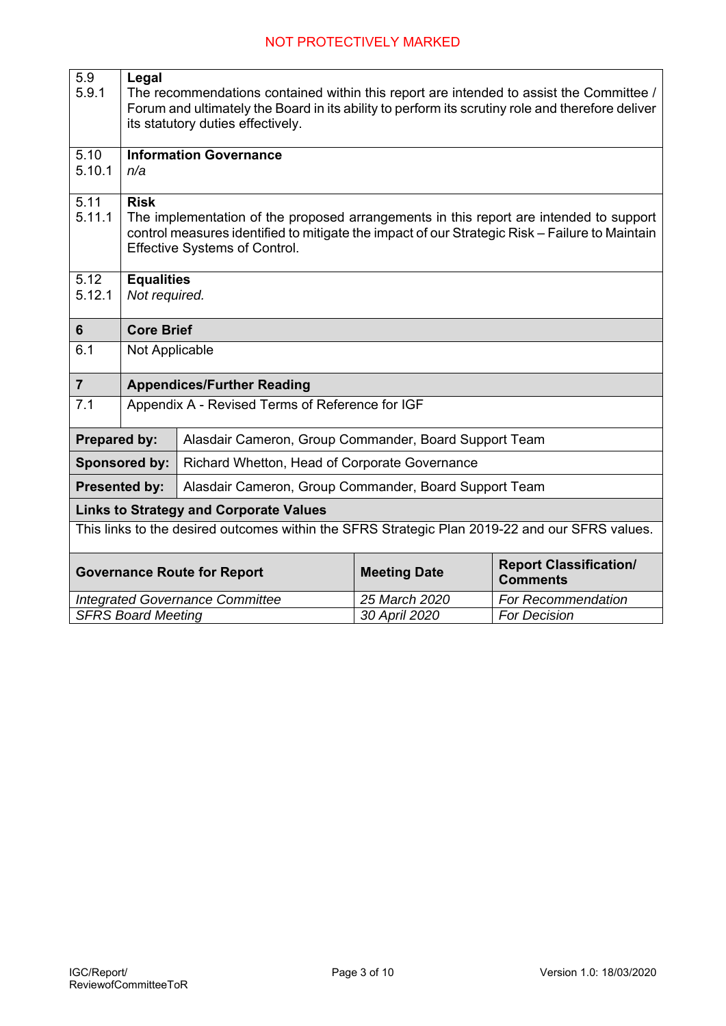| 5.9<br>Legal                                                                                                  |                                    |                                                                                                  |               |                     |  |  |  |  |
|---------------------------------------------------------------------------------------------------------------|------------------------------------|--------------------------------------------------------------------------------------------------|---------------|---------------------|--|--|--|--|
| 5.9.1                                                                                                         |                                    | The recommendations contained within this report are intended to assist the Committee /          |               |                     |  |  |  |  |
|                                                                                                               |                                    | Forum and ultimately the Board in its ability to perform its scrutiny role and therefore deliver |               |                     |  |  |  |  |
|                                                                                                               |                                    | its statutory duties effectively.                                                                |               |                     |  |  |  |  |
| 5.10                                                                                                          | <b>Information Governance</b>      |                                                                                                  |               |                     |  |  |  |  |
| 5.10.1                                                                                                        | n/a                                |                                                                                                  |               |                     |  |  |  |  |
|                                                                                                               |                                    |                                                                                                  |               |                     |  |  |  |  |
| 5.11                                                                                                          | <b>Risk</b>                        |                                                                                                  |               |                     |  |  |  |  |
| 5.11.1                                                                                                        |                                    | The implementation of the proposed arrangements in this report are intended to support           |               |                     |  |  |  |  |
|                                                                                                               |                                    | control measures identified to mitigate the impact of our Strategic Risk - Failure to Maintain   |               |                     |  |  |  |  |
|                                                                                                               |                                    | <b>Effective Systems of Control.</b>                                                             |               |                     |  |  |  |  |
| 5.12                                                                                                          |                                    |                                                                                                  |               |                     |  |  |  |  |
| 5.12.1                                                                                                        | <b>Equalities</b><br>Not required. |                                                                                                  |               |                     |  |  |  |  |
|                                                                                                               |                                    |                                                                                                  |               |                     |  |  |  |  |
| $6\phantom{1}$                                                                                                | <b>Core Brief</b>                  |                                                                                                  |               |                     |  |  |  |  |
| 6.1                                                                                                           | Not Applicable                     |                                                                                                  |               |                     |  |  |  |  |
|                                                                                                               |                                    |                                                                                                  |               |                     |  |  |  |  |
| $\overline{7}$                                                                                                |                                    | <b>Appendices/Further Reading</b>                                                                |               |                     |  |  |  |  |
| 7.1                                                                                                           |                                    | Appendix A - Revised Terms of Reference for IGF                                                  |               |                     |  |  |  |  |
| <b>Prepared by:</b>                                                                                           |                                    | Alasdair Cameron, Group Commander, Board Support Team                                            |               |                     |  |  |  |  |
|                                                                                                               | Sponsored by:                      | Richard Whetton, Head of Corporate Governance                                                    |               |                     |  |  |  |  |
|                                                                                                               | <b>Presented by:</b>               | Alasdair Cameron, Group Commander, Board Support Team                                            |               |                     |  |  |  |  |
|                                                                                                               |                                    | <b>Links to Strategy and Corporate Values</b>                                                    |               |                     |  |  |  |  |
| This links to the desired outcomes within the SFRS Strategic Plan 2019-22 and our SFRS values.                |                                    |                                                                                                  |               |                     |  |  |  |  |
| <b>Report Classification/</b><br><b>Meeting Date</b><br><b>Governance Route for Report</b><br><b>Comments</b> |                                    |                                                                                                  |               |                     |  |  |  |  |
|                                                                                                               |                                    | <b>Integrated Governance Committee</b>                                                           | 25 March 2020 | For Recommendation  |  |  |  |  |
|                                                                                                               | <b>SFRS Board Meeting</b>          |                                                                                                  | 30 April 2020 | <b>For Decision</b> |  |  |  |  |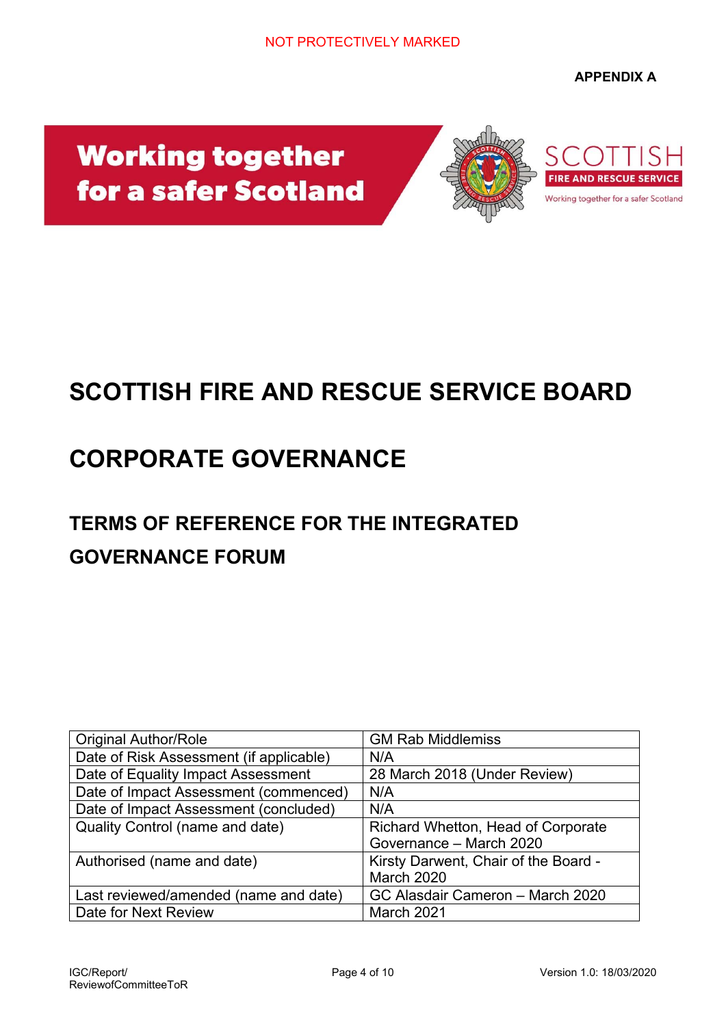**APPENDIX A** 

# **Working together** for a safer Scotland



# **SCOTTISH FIRE AND RESCUE SERVICE BOARD**

# **CORPORATE GOVERNANCE**

# **TERMS OF REFERENCE FOR THE INTEGRATED GOVERNANCE FORUM**

| <b>Original Author/Role</b>             | <b>GM Rab Middlemiss</b>             |
|-----------------------------------------|--------------------------------------|
| Date of Risk Assessment (if applicable) | N/A                                  |
| Date of Equality Impact Assessment      | 28 March 2018 (Under Review)         |
| Date of Impact Assessment (commenced)   | N/A                                  |
| Date of Impact Assessment (concluded)   | N/A                                  |
| Quality Control (name and date)         | Richard Whetton, Head of Corporate   |
|                                         | Governance - March 2020              |
| Authorised (name and date)              | Kirsty Darwent, Chair of the Board - |
|                                         | <b>March 2020</b>                    |
| Last reviewed/amended (name and date)   | GC Alasdair Cameron - March 2020     |
| Date for Next Review                    | March 2021                           |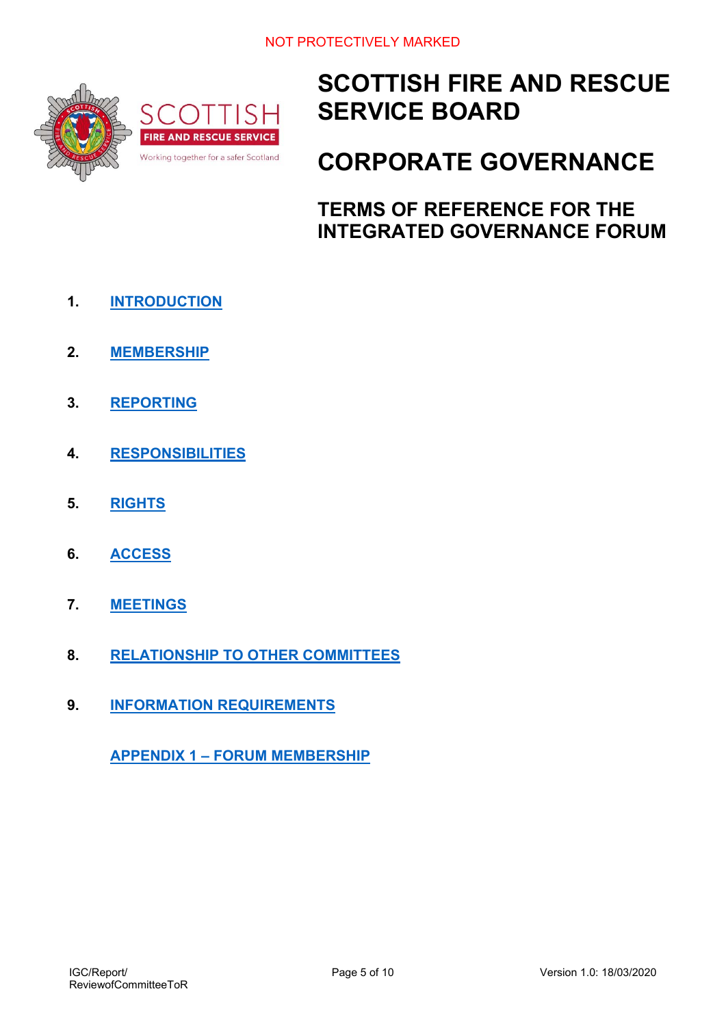

# **SCOTTISH FIRE AND RESCUE SERVICE BOARD**

# **CORPORATE GOVERNANCE**

**TERMS OF REFERENCE FOR THE INTEGRATED GOVERNANCE FORUM** 

- **1. INTRODUCTION**
- **2. MEMBERSHIP**
- **3. REPORTING**
- **4. RESPONSIBILITIES**
- **5. RIGHTS**
- **6. ACCESS**
- **7. MEETINGS**
- **8. RELATIONSHIP TO OTHER COMMITTEES**
- **9. INFORMATION REQUIREMENTS**

**APPENDIX 1 – FORUM MEMBERSHIP**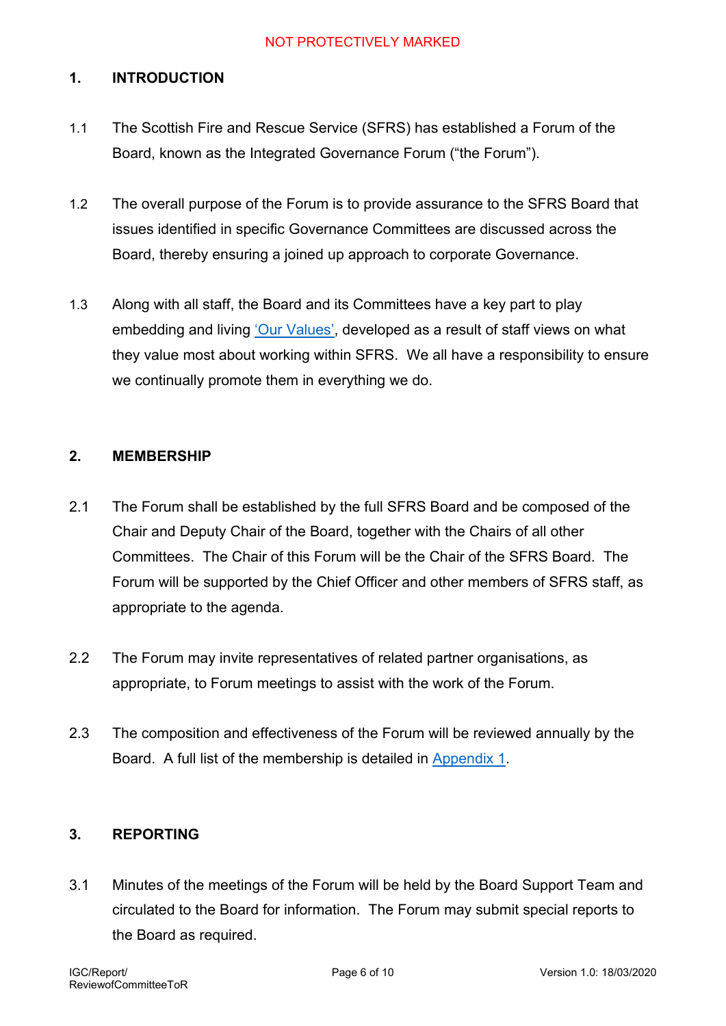## **1. INTRODUCTION**

- 1.1 The Scottish Fire and Rescue Service (SFRS) has established a Forum of the Board, known as the Integrated Governance Forum ("the Forum").
- 1.2 The overall purpose of the Forum is to provide assurance to the SFRS Board that issues identified in specific Governance Committees are discussed across the Board, thereby ensuring a joined up approach to corporate Governance.
- 1.3 Along with all staff, the Board and its Committees have a key part to play embedding and living 'Our Values', developed as a result of staff views on what they value most about working within SFRS. We all have a responsibility to ensure we continually promote them in everything we do.

## **2. MEMBERSHIP**

- 2.1 The Forum shall be established by the full SFRS Board and be composed of the Chair and Deputy Chair of the Board, together with the Chairs of all other Committees. The Chair of this Forum will be the Chair of the SFRS Board. The Forum will be supported by the Chief Officer and other members of SFRS staff, as appropriate to the agenda.
- 2.2 The Forum may invite representatives of related partner organisations, as appropriate, to Forum meetings to assist with the work of the Forum.
- 2.3 The composition and effectiveness of the Forum will be reviewed annually by the Board. A full list of the membership is detailed in Appendix 1.

## **3. REPORTING**

3.1 Minutes of the meetings of the Forum will be held by the Board Support Team and circulated to the Board for information. The Forum may submit special reports to the Board as required.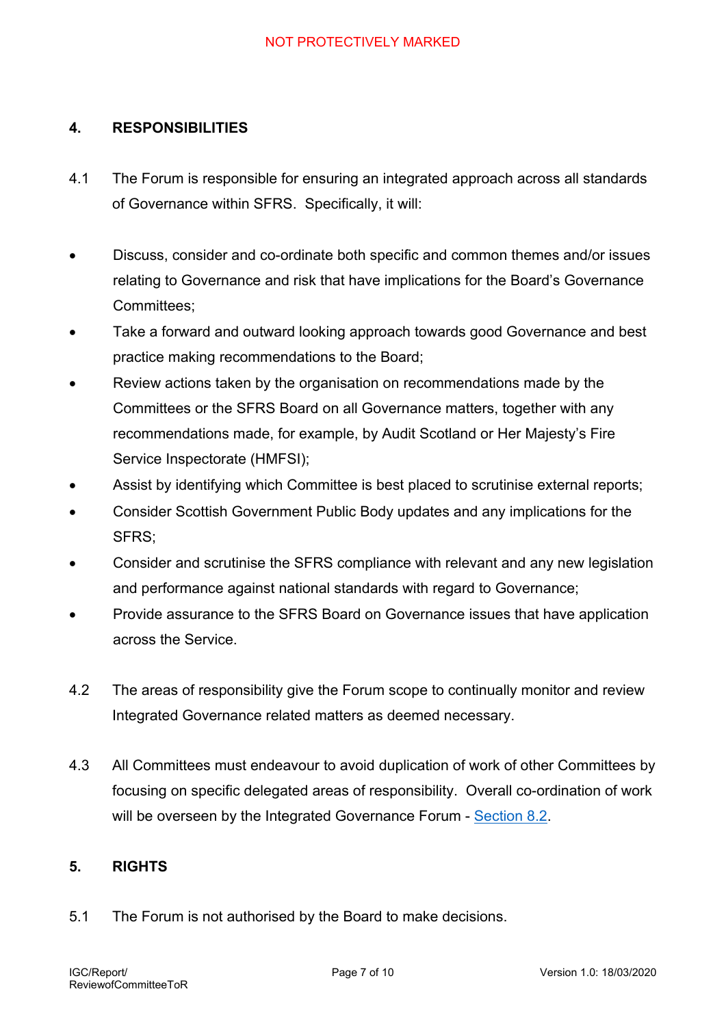## **4. RESPONSIBILITIES**

- 4.1 The Forum is responsible for ensuring an integrated approach across all standards of Governance within SFRS. Specifically, it will:
- Discuss, consider and co-ordinate both specific and common themes and/or issues relating to Governance and risk that have implications for the Board's Governance Committees;
- Take a forward and outward looking approach towards good Governance and best practice making recommendations to the Board;
- Review actions taken by the organisation on recommendations made by the Committees or the SFRS Board on all Governance matters, together with any recommendations made, for example, by Audit Scotland or Her Majesty's Fire Service Inspectorate (HMFSI);
- Assist by identifying which Committee is best placed to scrutinise external reports;
- Consider Scottish Government Public Body updates and any implications for the SFRS;
- Consider and scrutinise the SFRS compliance with relevant and any new legislation and performance against national standards with regard to Governance;
- Provide assurance to the SFRS Board on Governance issues that have application across the Service.
- 4.2 The areas of responsibility give the Forum scope to continually monitor and review Integrated Governance related matters as deemed necessary.
- 4.3 All Committees must endeavour to avoid duplication of work of other Committees by focusing on specific delegated areas of responsibility. Overall co-ordination of work will be overseen by the Integrated Governance Forum - Section 8.2.

## **5. RIGHTS**

5.1 The Forum is not authorised by the Board to make decisions.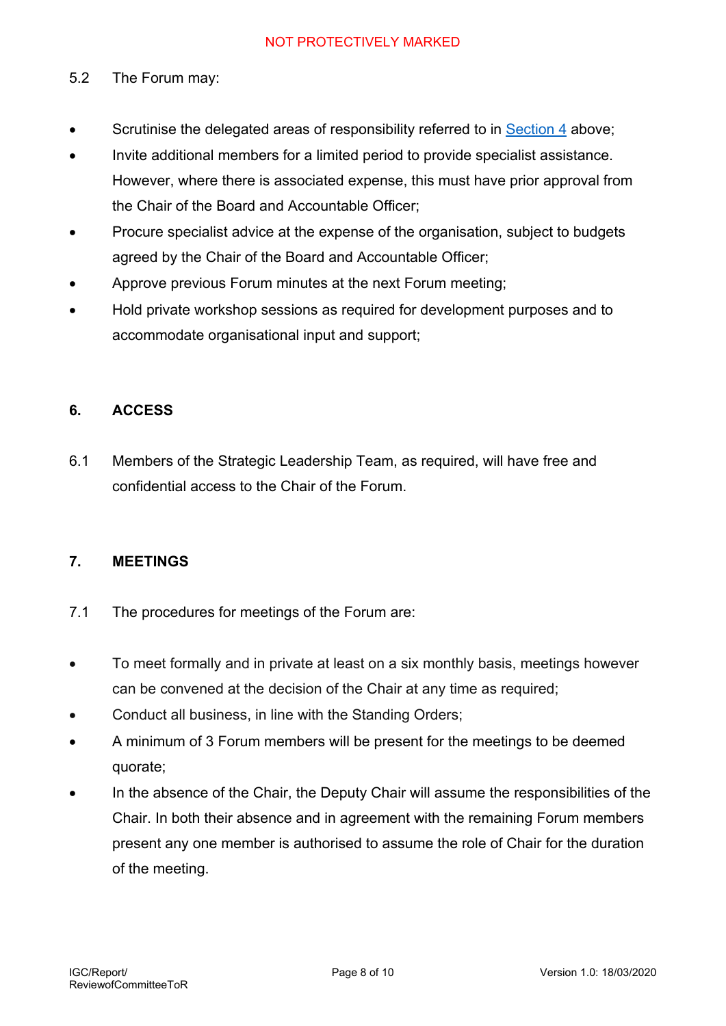## 5.2 The Forum may:

- Scrutinise the delegated areas of responsibility referred to in Section 4 above;
- Invite additional members for a limited period to provide specialist assistance. However, where there is associated expense, this must have prior approval from the Chair of the Board and Accountable Officer;
- Procure specialist advice at the expense of the organisation, subject to budgets agreed by the Chair of the Board and Accountable Officer;
- Approve previous Forum minutes at the next Forum meeting;
- Hold private workshop sessions as required for development purposes and to accommodate organisational input and support;

## **6. ACCESS**

6.1 Members of the Strategic Leadership Team, as required, will have free and confidential access to the Chair of the Forum.

#### **7. MEETINGS**

- 7.1 The procedures for meetings of the Forum are:
- To meet formally and in private at least on a six monthly basis, meetings however can be convened at the decision of the Chair at any time as required;
- Conduct all business, in line with the Standing Orders:
- A minimum of 3 Forum members will be present for the meetings to be deemed quorate;
- In the absence of the Chair, the Deputy Chair will assume the responsibilities of the Chair. In both their absence and in agreement with the remaining Forum members present any one member is authorised to assume the role of Chair for the duration of the meeting.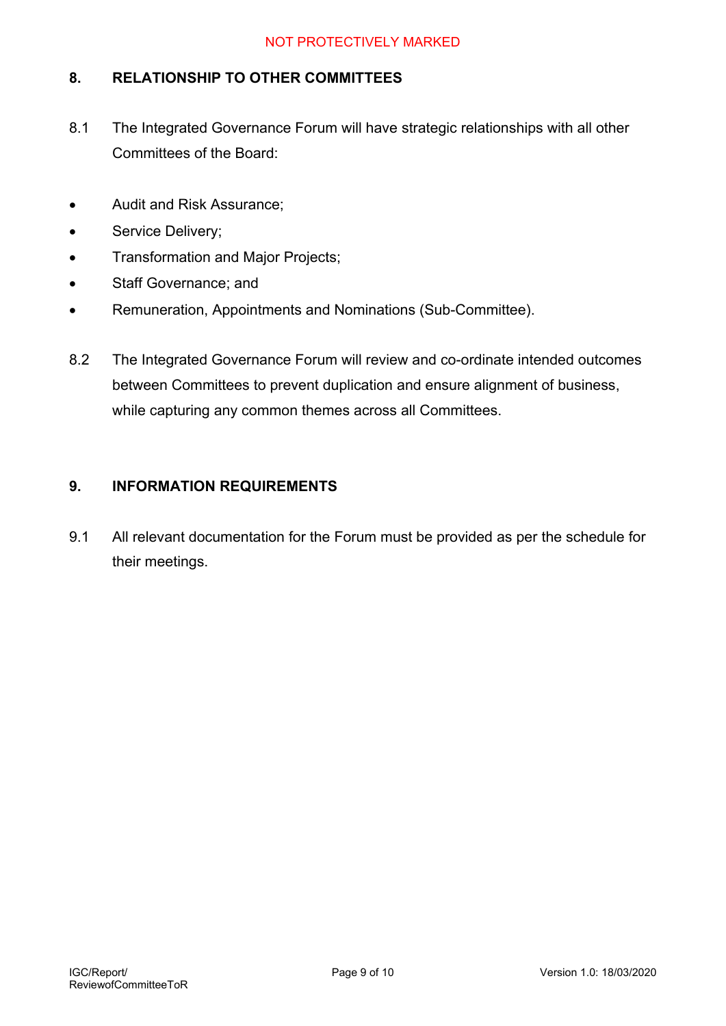## **8. RELATIONSHIP TO OTHER COMMITTEES**

- 8.1 The Integrated Governance Forum will have strategic relationships with all other Committees of the Board:
- Audit and Risk Assurance;
- Service Delivery;
- Transformation and Major Projects;
- Staff Governance; and
- Remuneration, Appointments and Nominations (Sub-Committee).
- 8.2 The Integrated Governance Forum will review and co-ordinate intended outcomes between Committees to prevent duplication and ensure alignment of business, while capturing any common themes across all Committees.

## **9. INFORMATION REQUIREMENTS**

9.1 All relevant documentation for the Forum must be provided as per the schedule for their meetings.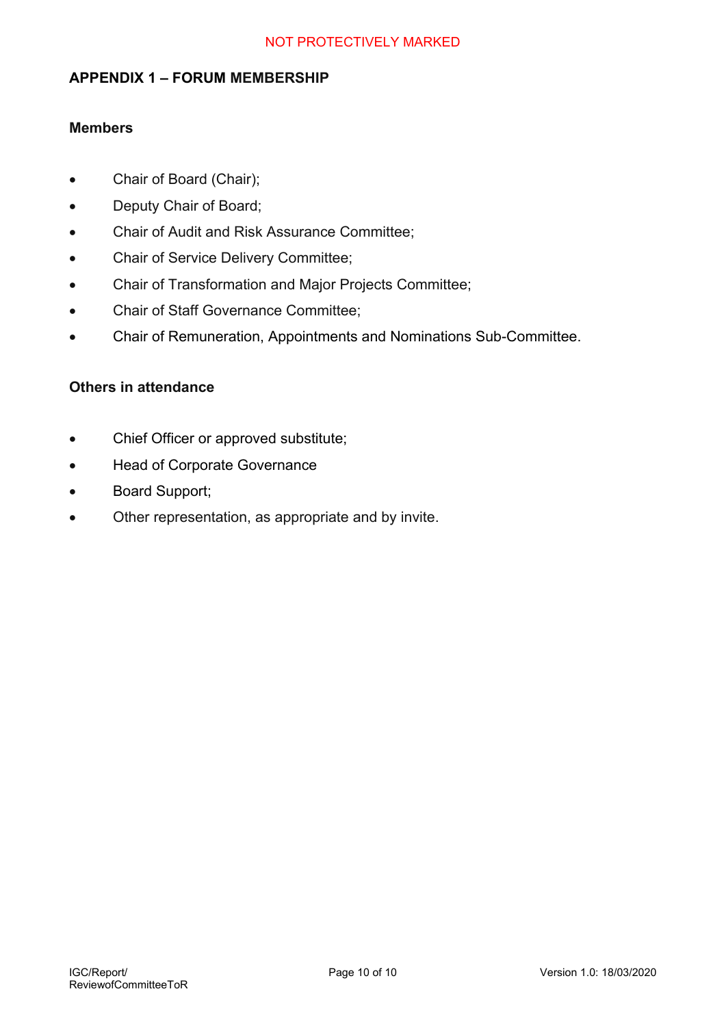### **APPENDIX 1 – FORUM MEMBERSHIP**

#### **Members**

- Chair of Board (Chair);
- Deputy Chair of Board;
- Chair of Audit and Risk Assurance Committee;
- Chair of Service Delivery Committee;
- Chair of Transformation and Major Projects Committee;
- Chair of Staff Governance Committee;
- Chair of Remuneration, Appointments and Nominations Sub-Committee.

#### **Others in attendance**

- Chief Officer or approved substitute;
- Head of Corporate Governance
- Board Support;
- Other representation, as appropriate and by invite.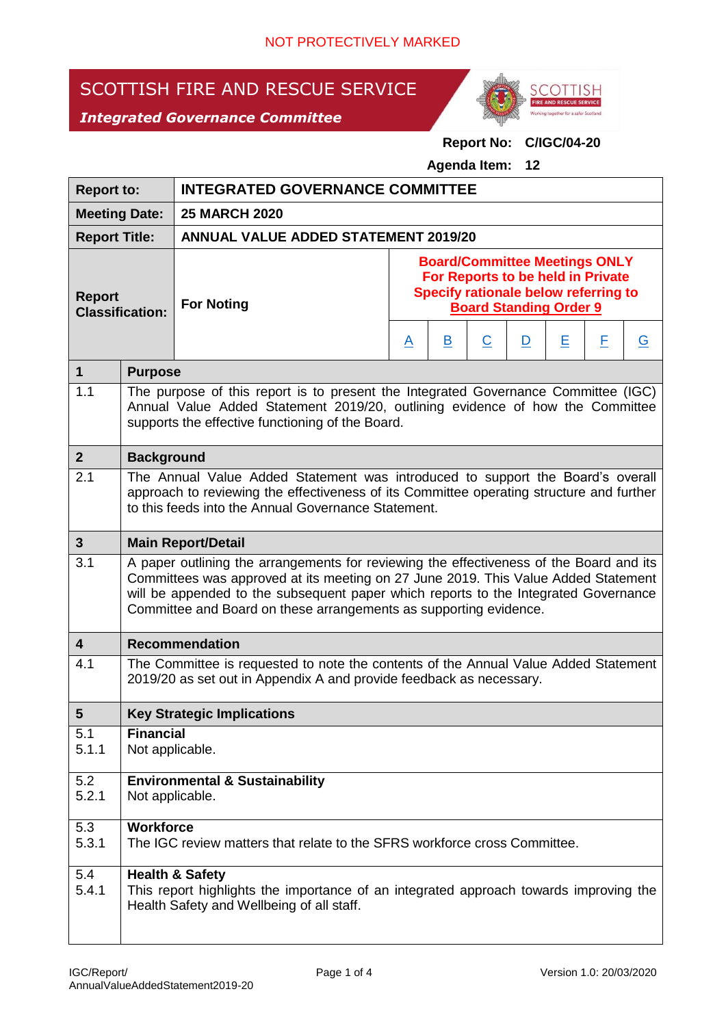# SCOTTISH FIRE AND RESCUE SERVICE





## **Report No: C/IGC/04-20**

**Agenda Item: 12**

| <b>Report to:</b>                       |                                                                                                                                                                                                                                                                                                                                           | <b>INTEGRATED GOVERNANCE COMMITTEE</b>                                                                                                                                                                                  |                                                                                                                                                    |              |                |              |   |   |                |
|-----------------------------------------|-------------------------------------------------------------------------------------------------------------------------------------------------------------------------------------------------------------------------------------------------------------------------------------------------------------------------------------------|-------------------------------------------------------------------------------------------------------------------------------------------------------------------------------------------------------------------------|----------------------------------------------------------------------------------------------------------------------------------------------------|--------------|----------------|--------------|---|---|----------------|
| <b>Meeting Date:</b>                    |                                                                                                                                                                                                                                                                                                                                           | <b>25 MARCH 2020</b>                                                                                                                                                                                                    |                                                                                                                                                    |              |                |              |   |   |                |
| <b>Report Title:</b>                    |                                                                                                                                                                                                                                                                                                                                           | <b>ANNUAL VALUE ADDED STATEMENT 2019/20</b>                                                                                                                                                                             |                                                                                                                                                    |              |                |              |   |   |                |
| <b>Report</b><br><b>Classification:</b> |                                                                                                                                                                                                                                                                                                                                           | <b>For Noting</b>                                                                                                                                                                                                       | <b>Board/Committee Meetings ONLY</b><br>For Reports to be held in Private<br>Specify rationale below referring to<br><b>Board Standing Order 9</b> |              |                |              |   |   |                |
|                                         |                                                                                                                                                                                                                                                                                                                                           |                                                                                                                                                                                                                         | <u>A</u>                                                                                                                                           | $\mathbf{B}$ | $\overline{C}$ | $\mathbf{D}$ | Ε | E | $\overline{G}$ |
| $\mathbf{1}$                            | <b>Purpose</b>                                                                                                                                                                                                                                                                                                                            |                                                                                                                                                                                                                         |                                                                                                                                                    |              |                |              |   |   |                |
| 1.1                                     |                                                                                                                                                                                                                                                                                                                                           | The purpose of this report is to present the Integrated Governance Committee (IGC)<br>Annual Value Added Statement 2019/20, outlining evidence of how the Committee<br>supports the effective functioning of the Board. |                                                                                                                                                    |              |                |              |   |   |                |
| $\overline{2}$                          | <b>Background</b>                                                                                                                                                                                                                                                                                                                         |                                                                                                                                                                                                                         |                                                                                                                                                    |              |                |              |   |   |                |
| 2.1                                     | The Annual Value Added Statement was introduced to support the Board's overall<br>approach to reviewing the effectiveness of its Committee operating structure and further<br>to this feeds into the Annual Governance Statement.                                                                                                         |                                                                                                                                                                                                                         |                                                                                                                                                    |              |                |              |   |   |                |
| $3\phantom{a}$                          |                                                                                                                                                                                                                                                                                                                                           | <b>Main Report/Detail</b>                                                                                                                                                                                               |                                                                                                                                                    |              |                |              |   |   |                |
| 3.1                                     | A paper outlining the arrangements for reviewing the effectiveness of the Board and its<br>Committees was approved at its meeting on 27 June 2019. This Value Added Statement<br>will be appended to the subsequent paper which reports to the Integrated Governance<br>Committee and Board on these arrangements as supporting evidence. |                                                                                                                                                                                                                         |                                                                                                                                                    |              |                |              |   |   |                |
| $\overline{\mathbf{4}}$                 |                                                                                                                                                                                                                                                                                                                                           | <b>Recommendation</b>                                                                                                                                                                                                   |                                                                                                                                                    |              |                |              |   |   |                |
| 4.1                                     | The Committee is requested to note the contents of the Annual Value Added Statement<br>2019/20 as set out in Appendix A and provide feedback as necessary.                                                                                                                                                                                |                                                                                                                                                                                                                         |                                                                                                                                                    |              |                |              |   |   |                |
| 5                                       |                                                                                                                                                                                                                                                                                                                                           | <b>Key Strategic Implications</b>                                                                                                                                                                                       |                                                                                                                                                    |              |                |              |   |   |                |
| 5.1<br>5.1.1                            | <b>Financial</b><br>Not applicable.                                                                                                                                                                                                                                                                                                       |                                                                                                                                                                                                                         |                                                                                                                                                    |              |                |              |   |   |                |
| 5.2<br>5.2.1                            | <b>Environmental &amp; Sustainability</b><br>Not applicable.                                                                                                                                                                                                                                                                              |                                                                                                                                                                                                                         |                                                                                                                                                    |              |                |              |   |   |                |
| 5.3<br>5.3.1                            | <b>Workforce</b><br>The IGC review matters that relate to the SFRS workforce cross Committee.                                                                                                                                                                                                                                             |                                                                                                                                                                                                                         |                                                                                                                                                    |              |                |              |   |   |                |
| 5.4<br>5.4.1                            |                                                                                                                                                                                                                                                                                                                                           | <b>Health &amp; Safety</b><br>This report highlights the importance of an integrated approach towards improving the<br>Health Safety and Wellbeing of all staff.                                                        |                                                                                                                                                    |              |                |              |   |   |                |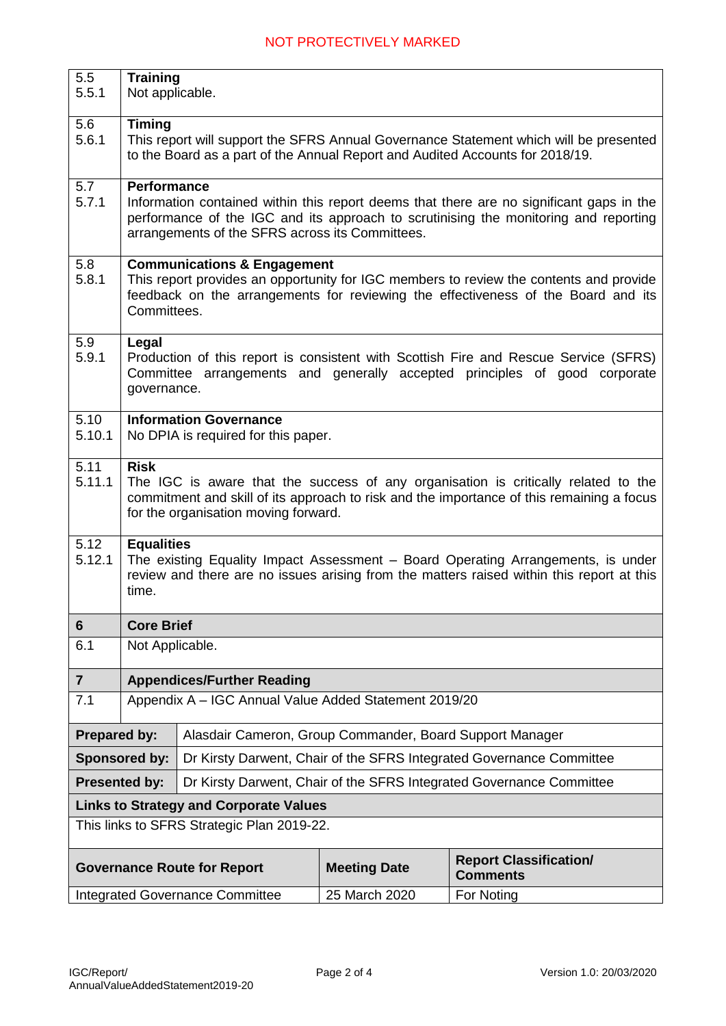| 5.5<br>5.5.1                           | <b>Training</b><br>Not applicable.                                                                                                                                                                                                                        |                                                          |                     |                                                                      |  |  |  |  |
|----------------------------------------|-----------------------------------------------------------------------------------------------------------------------------------------------------------------------------------------------------------------------------------------------------------|----------------------------------------------------------|---------------------|----------------------------------------------------------------------|--|--|--|--|
|                                        |                                                                                                                                                                                                                                                           |                                                          |                     |                                                                      |  |  |  |  |
| 5.6<br>5.6.1                           | <b>Timing</b><br>This report will support the SFRS Annual Governance Statement which will be presented<br>to the Board as a part of the Annual Report and Audited Accounts for 2018/19.                                                                   |                                                          |                     |                                                                      |  |  |  |  |
| 5.7<br>5.7.1                           | <b>Performance</b><br>Information contained within this report deems that there are no significant gaps in the<br>performance of the IGC and its approach to scrutinising the monitoring and reporting<br>arrangements of the SFRS across its Committees. |                                                          |                     |                                                                      |  |  |  |  |
| 5.8<br>5.8.1                           | <b>Communications &amp; Engagement</b><br>This report provides an opportunity for IGC members to review the contents and provide<br>feedback on the arrangements for reviewing the effectiveness of the Board and its<br>Committees.                      |                                                          |                     |                                                                      |  |  |  |  |
| 5.9<br>5.9.1                           | Legal<br>Production of this report is consistent with Scottish Fire and Rescue Service (SFRS)<br>Committee arrangements and generally accepted principles of good corporate<br>governance.                                                                |                                                          |                     |                                                                      |  |  |  |  |
| 5.10<br>5.10.1                         | <b>Information Governance</b><br>No DPIA is required for this paper.                                                                                                                                                                                      |                                                          |                     |                                                                      |  |  |  |  |
| 5.11<br>5.11.1                         | <b>Risk</b><br>The IGC is aware that the success of any organisation is critically related to the<br>commitment and skill of its approach to risk and the importance of this remaining a focus<br>for the organisation moving forward.                    |                                                          |                     |                                                                      |  |  |  |  |
| 5.12<br>5.12.1                         | <b>Equalities</b><br>The existing Equality Impact Assessment - Board Operating Arrangements, is under<br>review and there are no issues arising from the matters raised within this report at this<br>time.                                               |                                                          |                     |                                                                      |  |  |  |  |
| 6                                      | <b>Core Brief</b>                                                                                                                                                                                                                                         |                                                          |                     |                                                                      |  |  |  |  |
| 6.1                                    | Not Applicable.                                                                                                                                                                                                                                           |                                                          |                     |                                                                      |  |  |  |  |
| $\overline{7}$                         |                                                                                                                                                                                                                                                           | <b>Appendices/Further Reading</b>                        |                     |                                                                      |  |  |  |  |
| 7.1                                    |                                                                                                                                                                                                                                                           | Appendix A - IGC Annual Value Added Statement 2019/20    |                     |                                                                      |  |  |  |  |
| <b>Prepared by:</b>                    |                                                                                                                                                                                                                                                           | Alasdair Cameron, Group Commander, Board Support Manager |                     |                                                                      |  |  |  |  |
|                                        | <b>Sponsored by:</b>                                                                                                                                                                                                                                      |                                                          |                     | Dr Kirsty Darwent, Chair of the SFRS Integrated Governance Committee |  |  |  |  |
|                                        | <b>Presented by:</b><br>Dr Kirsty Darwent, Chair of the SFRS Integrated Governance Committee                                                                                                                                                              |                                                          |                     |                                                                      |  |  |  |  |
|                                        |                                                                                                                                                                                                                                                           | <b>Links to Strategy and Corporate Values</b>            |                     |                                                                      |  |  |  |  |
|                                        | This links to SFRS Strategic Plan 2019-22.                                                                                                                                                                                                                |                                                          |                     |                                                                      |  |  |  |  |
|                                        |                                                                                                                                                                                                                                                           | <b>Governance Route for Report</b>                       | <b>Meeting Date</b> | <b>Report Classification/</b><br><b>Comments</b>                     |  |  |  |  |
| <b>Integrated Governance Committee</b> |                                                                                                                                                                                                                                                           |                                                          | 25 March 2020       | For Noting                                                           |  |  |  |  |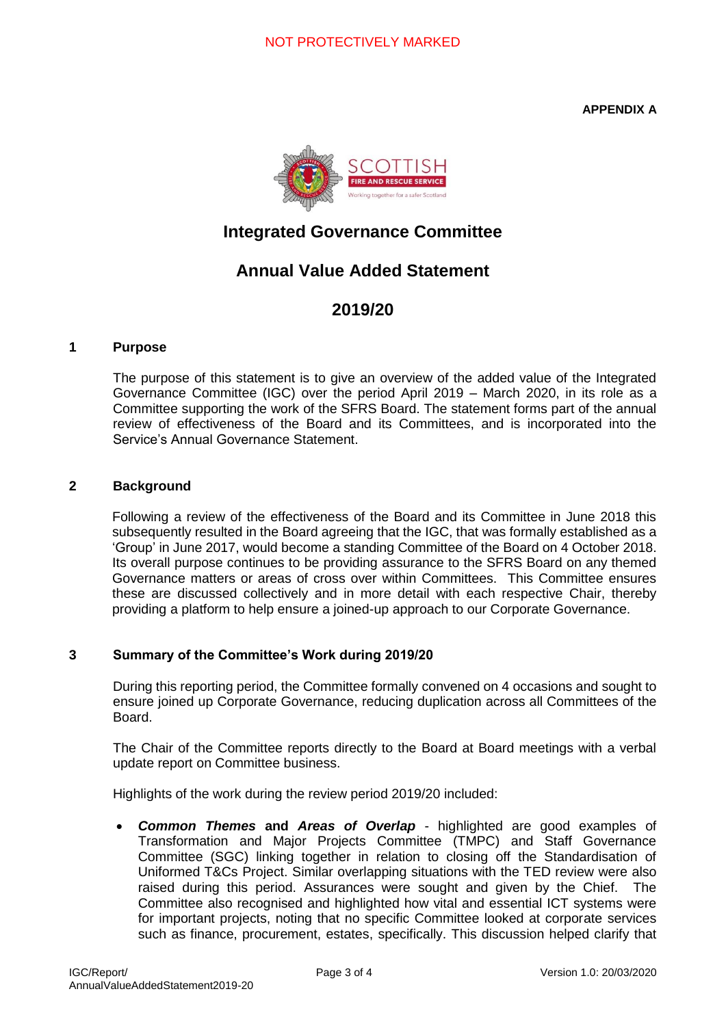**APPENDIX A**



## **Integrated Governance Committee**

## **Annual Value Added Statement**

## **2019/20**

#### **1 Purpose**

The purpose of this statement is to give an overview of the added value of the Integrated Governance Committee (IGC) over the period April 2019 – March 2020, in its role as a Committee supporting the work of the SFRS Board. The statement forms part of the annual review of effectiveness of the Board and its Committees, and is incorporated into the Service's Annual Governance Statement.

#### **2 Background**

Following a review of the effectiveness of the Board and its Committee in June 2018 this subsequently resulted in the Board agreeing that the IGC, that was formally established as a 'Group' in June 2017, would become a standing Committee of the Board on 4 October 2018. Its overall purpose continues to be providing assurance to the SFRS Board on any themed Governance matters or areas of cross over within Committees. This Committee ensures these are discussed collectively and in more detail with each respective Chair, thereby providing a platform to help ensure a joined-up approach to our Corporate Governance.

#### **3 Summary of the Committee's Work during 2019/20**

During this reporting period, the Committee formally convened on 4 occasions and sought to ensure joined up Corporate Governance, reducing duplication across all Committees of the Board.

The Chair of the Committee reports directly to the Board at Board meetings with a verbal update report on Committee business.

Highlights of the work during the review period 2019/20 included:

• *Common Themes* **and** *Areas of Overlap* - highlighted are good examples of Transformation and Major Projects Committee (TMPC) and Staff Governance Committee (SGC) linking together in relation to closing off the Standardisation of Uniformed T&Cs Project. Similar overlapping situations with the TED review were also raised during this period. Assurances were sought and given by the Chief. The Committee also recognised and highlighted how vital and essential ICT systems were for important projects, noting that no specific Committee looked at corporate services such as finance, procurement, estates, specifically. This discussion helped clarify that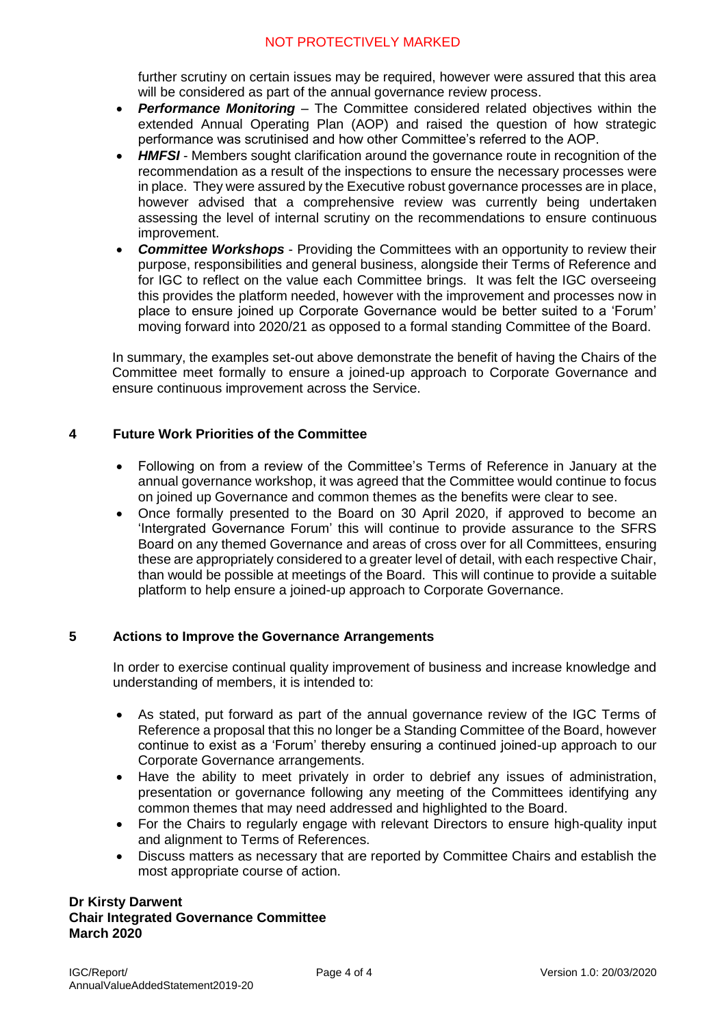further scrutiny on certain issues may be required, however were assured that this area will be considered as part of the annual governance review process.

- *Performance Monitoring* The Committee considered related objectives within the extended Annual Operating Plan (AOP) and raised the question of how strategic performance was scrutinised and how other Committee's referred to the AOP.
- **HMFSI** Members sought clarification around the governance route in recognition of the recommendation as a result of the inspections to ensure the necessary processes were in place. They were assured by the Executive robust governance processes are in place, however advised that a comprehensive review was currently being undertaken assessing the level of internal scrutiny on the recommendations to ensure continuous improvement.
- *Committee Workshops* Providing the Committees with an opportunity to review their purpose, responsibilities and general business, alongside their Terms of Reference and for IGC to reflect on the value each Committee brings. It was felt the IGC overseeing this provides the platform needed, however with the improvement and processes now in place to ensure joined up Corporate Governance would be better suited to a 'Forum' moving forward into 2020/21 as opposed to a formal standing Committee of the Board.

In summary, the examples set-out above demonstrate the benefit of having the Chairs of the Committee meet formally to ensure a joined-up approach to Corporate Governance and ensure continuous improvement across the Service.

#### **4 Future Work Priorities of the Committee**

- Following on from a review of the Committee's Terms of Reference in January at the annual governance workshop, it was agreed that the Committee would continue to focus on joined up Governance and common themes as the benefits were clear to see.
- Once formally presented to the Board on 30 April 2020, if approved to become an 'Intergrated Governance Forum' this will continue to provide assurance to the SFRS Board on any themed Governance and areas of cross over for all Committees, ensuring these are appropriately considered to a greater level of detail, with each respective Chair, than would be possible at meetings of the Board. This will continue to provide a suitable platform to help ensure a joined-up approach to Corporate Governance.

#### **5 Actions to Improve the Governance Arrangements**

In order to exercise continual quality improvement of business and increase knowledge and understanding of members, it is intended to:

- As stated, put forward as part of the annual governance review of the IGC Terms of Reference a proposal that this no longer be a Standing Committee of the Board, however continue to exist as a 'Forum' thereby ensuring a continued joined-up approach to our Corporate Governance arrangements.
- Have the ability to meet privately in order to debrief any issues of administration, presentation or governance following any meeting of the Committees identifying any common themes that may need addressed and highlighted to the Board.
- For the Chairs to regularly engage with relevant Directors to ensure high-quality input and alignment to Terms of References.
- Discuss matters as necessary that are reported by Committee Chairs and establish the most appropriate course of action.

#### **Dr Kirsty Darwent Chair Integrated Governance Committee March 2020**